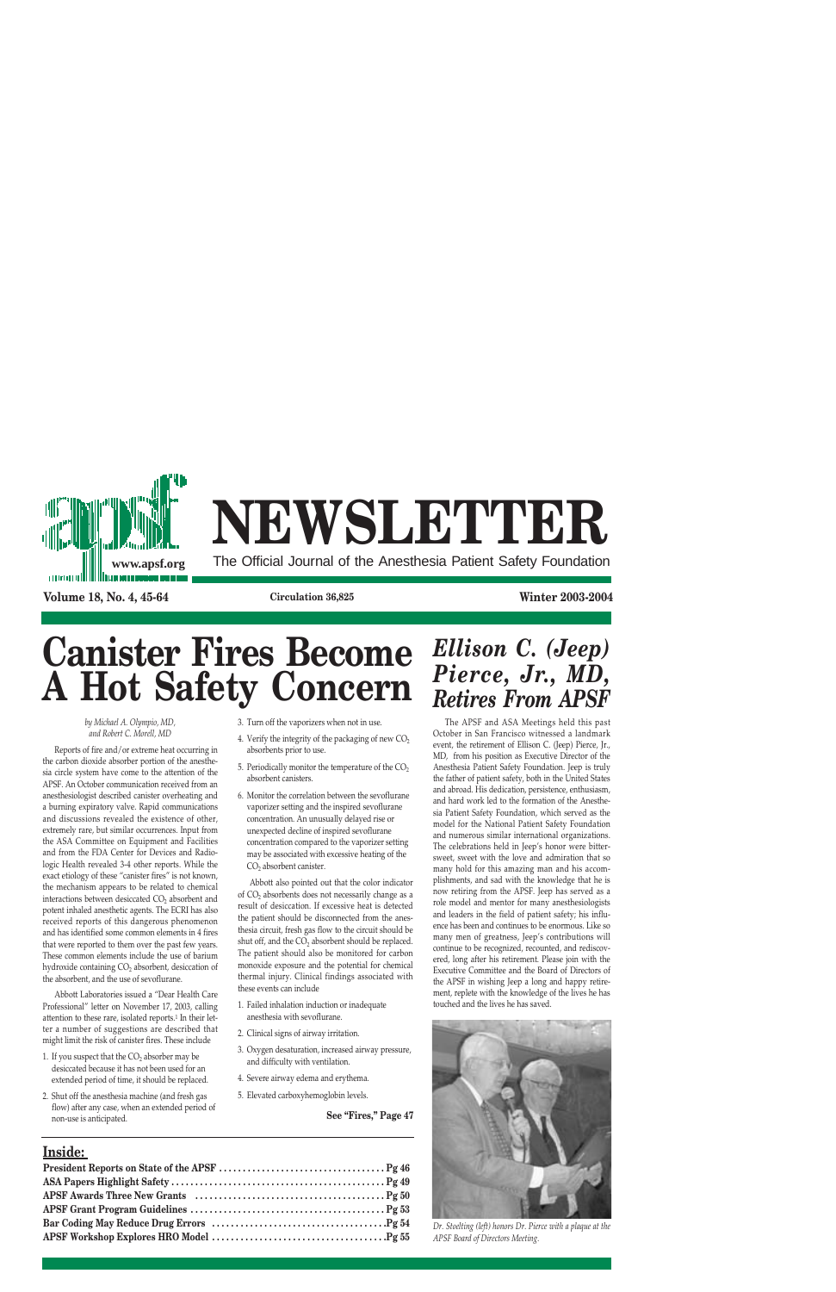

# **NEWSLETTER**

The Official Journal of the Anesthesia Patient Safety Foundation

**Volume 18, No. 4, 45-64 Circulation 36,825 Winter 2003-2004**

# **Canister Fires Become A Hot Safety Concern**

*by Michael A. Olympio, MD, and Robert C. Morell, MD*

Reports of fire and/or extreme heat occurring in the carbon dioxide absorber portion of the anesthesia circle system have come to the attention of the APSF. An October communication received from an anesthesiologist described canister overheating and a burning expiratory valve. Rapid communications and discussions revealed the existence of other, extremely rare, but similar occurrences. Input from the ASA Committee on Equipment and Facilities and from the FDA Center for Devices and Radiologic Health revealed 3-4 other reports. While the exact etiology of these "canister fires" is not known, the mechanism appears to be related to chemical interactions between desiccated CO<sub>2</sub> absorbent and potent inhaled anesthetic agents. The ECRI has also received reports of this dangerous phenomenon and has identified some common elements in 4 fires that were reported to them over the past few years. These common elements include the use of barium hydroxide containing  $CO<sub>2</sub>$  absorbent, desiccation of the absorbent, and the use of sevoflurane.

Abbott Laboratories issued a "Dear Health Care Professional" letter on November 17, 2003, calling attention to these rare, isolated reports.1 In their letter a number of suggestions are described that might limit the risk of canister fires. These include

- 1. If you suspect that the  $CO<sub>2</sub>$  absorber may be desiccated because it has not been used for an extended period of time, it should be replaced.
- 2. Shut off the anesthesia machine (and fresh gas flow) after any case, when an extended period of non-use is anticipated.
- 3. Turn off the vaporizers when not in use.
- 4. Verify the integrity of the packaging of new  $CO<sub>2</sub>$ absorbents prior to use.
- 5. Periodically monitor the temperature of the  $CO<sub>2</sub>$ absorbent canisters.
- 6. Monitor the correlation between the sevoflurane vaporizer setting and the inspired sevoflurane concentration. An unusually delayed rise or unexpected decline of inspired sevoflurane concentration compared to the vaporizer setting may be associated with excessive heating of the CO<sub>2</sub> absorbent canister.

Abbott also pointed out that the color indicator of CO<sub>2</sub> absorbents does not necessarily change as a result of desiccation. If excessive heat is detected the patient should be disconnected from the anesthesia circuit, fresh gas flow to the circuit should be shut off, and the CO<sub>2</sub> absorbent should be replaced. The patient should also be monitored for carbon monoxide exposure and the potential for chemical thermal injury. Clinical findings associated with these events can include

- 1. Failed inhalation induction or inadequate anesthesia with sevoflurane.
- 2. Clinical signs of airway irritation.
- 3. Oxygen desaturation, increased airway pressure, and difficulty with ventilation.
- 4. Severe airway edema and erythema.
- 5. Elevated carboxyhemoglobin levels.

**See "Fires," Page 47**

## **Inside:**

# *Ellison C. (Jeep) Pierce, Jr., MD, Retires From APSF*

The APSF and ASA Meetings held this past October in San Francisco witnessed a landmark event, the retirement of Ellison C. (Jeep) Pierce, Jr., MD, from his position as Executive Director of the Anesthesia Patient Safety Foundation. Jeep is truly the father of patient safety, both in the United States and abroad. His dedication, persistence, enthusiasm, and hard work led to the formation of the Anesthesia Patient Safety Foundation, which served as the model for the National Patient Safety Foundation and numerous similar international organizations. The celebrations held in Jeep's honor were bittersweet, sweet with the love and admiration that so many hold for this amazing man and his accomplishments, and sad with the knowledge that he is now retiring from the APSF. Jeep has served as a role model and mentor for many anesthesiologists and leaders in the field of patient safety; his influence has been and continues to be enormous. Like so many men of greatness, Jeep's contributions will continue to be recognized, recounted, and rediscovered, long after his retirement. Please join with the Executive Committee and the Board of Directors of the APSF in wishing Jeep a long and happy retirement, replete with the knowledge of the lives he has touched and the lives he has saved.



*Dr. Stoelting (left) honors Dr. Pierce with a plaque at the APSF Board of Directors Meeting.*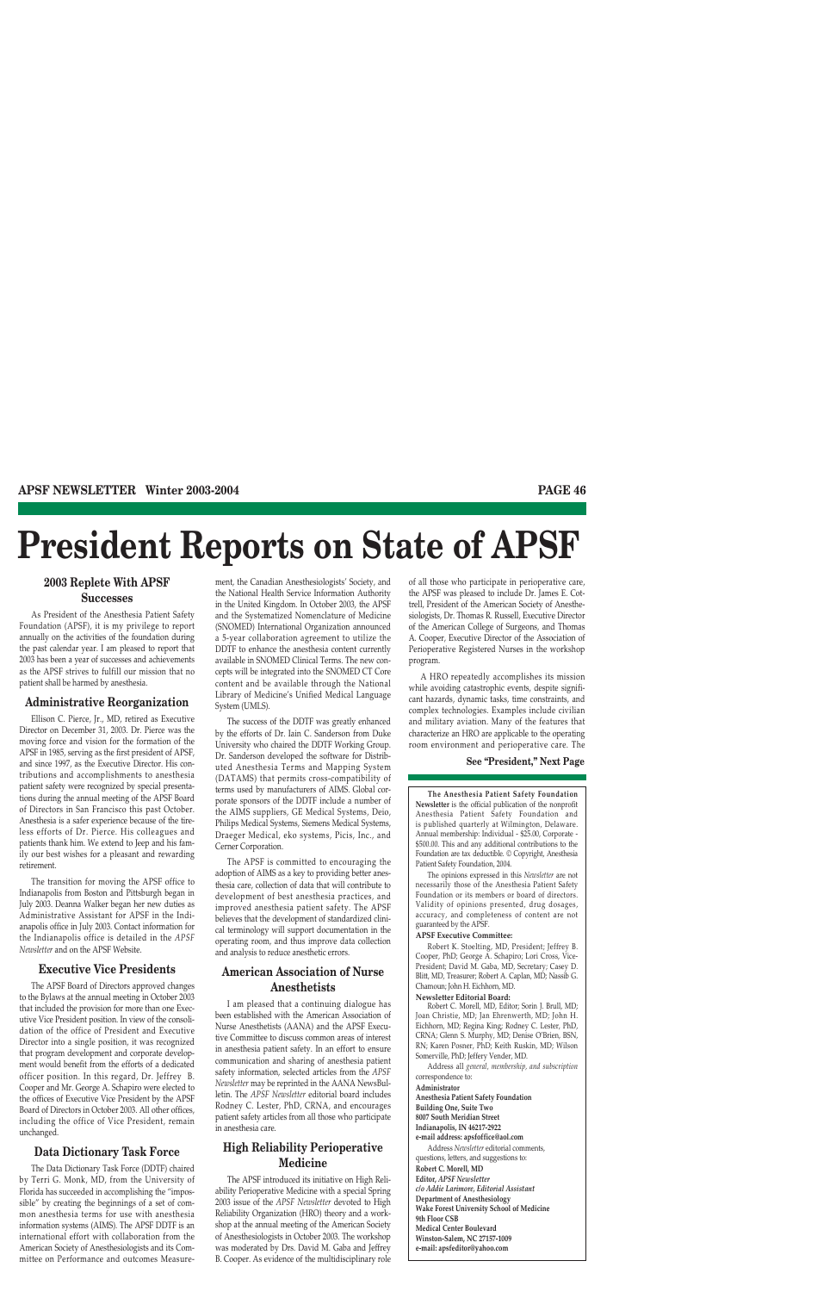# **President Reports on State of APSF**

## **2003 Replete With APSF Successes**

As President of the Anesthesia Patient Safety Foundation (APSF), it is my privilege to report annually on the activities of the foundation during the past calendar year. I am pleased to report that 2003 has been a year of successes and achievements as the APSF strives to fulfill our mission that no patient shall be harmed by anesthesia.

## **Administrative Reorganization**

Ellison C. Pierce, Jr., MD, retired as Executive Director on December 31, 2003. Dr. Pierce was the moving force and vision for the formation of the APSF in 1985, serving as the first president of APSF, and since 1997, as the Executive Director. His contributions and accomplishments to anesthesia patient safety were recognized by special presentations during the annual meeting of the APSF Board of Directors in San Francisco this past October. Anesthesia is a safer experience because of the tireless efforts of Dr. Pierce. His colleagues and patients thank him. We extend to Jeep and his family our best wishes for a pleasant and rewarding retirement.

The transition for moving the APSF office to Indianapolis from Boston and Pittsburgh began in July 2003. Deanna Walker began her new duties as Administrative Assistant for APSF in the Indianapolis office in July 2003. Contact information for the Indianapolis office is detailed in the *APSF Newsletter* and on the APSF Website.

## **Executive Vice Presidents**

The APSF Board of Directors approved changes to the Bylaws at the annual meeting in October 2003 that included the provision for more than one Executive Vice President position. In view of the consolidation of the office of President and Executive Director into a single position, it was recognized that program development and corporate development would benefit from the efforts of a dedicated officer position. In this regard, Dr. Jeffrey B. Cooper and Mr. George A. Schapiro were elected to the offices of Executive Vice President by the APSF Board of Directors in October 2003. All other offices, including the office of Vice President, remain unchanged.

## **Data Dictionary Task Force**

The Data Dictionary Task Force (DDTF) chaired by Terri G. Monk, MD, from the University of Florida has succeeded in accomplishing the "impossible" by creating the beginnings of a set of common anesthesia terms for use with anesthesia information systems (AIMS). The APSF DDTF is an international effort with collaboration from the American Society of Anesthesiologists and its Committee on Performance and outcomes Measurement, the Canadian Anesthesiologists' Society, and the National Health Service Information Authority in the United Kingdom. In October 2003, the APSF and the Systematized Nomenclature of Medicine (SNOMED) International Organization announced a 5-year collaboration agreement to utilize the DDTF to enhance the anesthesia content currently available in SNOMED Clinical Terms. The new concepts will be integrated into the SNOMED CT Core content and be available through the National Library of Medicine's Unified Medical Language System (UMLS).

The success of the DDTF was greatly enhanced by the efforts of Dr. Iain C. Sanderson from Duke University who chaired the DDTF Working Group. Dr. Sanderson developed the software for Distributed Anesthesia Terms and Mapping System (DATAMS) that permits cross-compatibility of terms used by manufacturers of AIMS. Global corporate sponsors of the DDTF include a number of the AIMS suppliers, GE Medical Systems, Deio, Philips Medical Systems, Siemens Medical Systems, Draeger Medical, eko systems, Picis, Inc., and Cerner Corporation.

The APSF is committed to encouraging the adoption of AIMS as a key to providing better anesthesia care, collection of data that will contribute to development of best anesthesia practices, and improved anesthesia patient safety. The APSF believes that the development of standardized clinical terminology will support documentation in the operating room, and thus improve data collection and analysis to reduce anesthetic errors.

## **American Association of Nurse Anesthetists**

I am pleased that a continuing dialogue has been established with the American Association of Nurse Anesthetists (AANA) and the APSF Executive Committee to discuss common areas of interest in anesthesia patient safety. In an effort to ensure communication and sharing of anesthesia patient safety information, selected articles from the *APSF Newsletter* may be reprinted in the AANA NewsBulletin. The *APSF Newsletter* editorial board includes Rodney C. Lester, PhD, CRNA, and encourages patient safety articles from all those who participate in anesthesia care.

## **High Reliability Perioperative Medicine**

The APSF introduced its initiative on High Reliability Perioperative Medicine with a special Spring 2003 issue of the *APSF Newsletter* devoted to High Reliability Organization (HRO) theory and a workshop at the annual meeting of the American Society of Anesthesiologists in October 2003. The workshop was moderated by Drs. David M. Gaba and Jeffrey B. Cooper. As evidence of the multidisciplinary role of all those who participate in perioperative care, the APSF was pleased to include Dr. James E. Cottrell, President of the American Society of Anesthesiologists, Dr. Thomas R. Russell, Executive Director of the American College of Surgeons, and Thomas A. Cooper, Executive Director of the Association of Perioperative Registered Nurses in the workshop program.

A HRO repeatedly accomplishes its mission while avoiding catastrophic events, despite significant hazards, dynamic tasks, time constraints, and complex technologies. Examples include civilian and military aviation. Many of the features that characterize an HRO are applicable to the operating room environment and perioperative care. The

#### **See "President," Next Page**

**The Anesthesia Patient Safety Foundation Newsletter** is the official publication of the nonprofit Anesthesia Patient Safety Foundation and is published quarterly at Wilmington, Delaware. Annual membership: Individual - \$25.00, Corporate - \$500.00. This and any additional contributions to the Foundation are tax deductible. © Copyright, Anesthesia Patient Safety Foundation, 2004.

The opinions expressed in this *Newsletter* are not necessarily those of the Anesthesia Patient Safety Foundation or its members or board of directors. Validity of opinions presented, drug dosages, accuracy, and completeness of content are not guaranteed by the APSF.

#### **APSF Executive Committee:**

Robert K. Stoelting, MD, President; Jeffrey B. Cooper, PhD; George A. Schapiro; Lori Cross, Vice-President; David M. Gaba, MD, Secretary; Casey D. Blitt, MD, Treasurer; Robert A. Caplan, MD; Nassib G. Chamoun; John H. Eichhorn, MD.

#### **Newsletter Editorial Board:**

Robert C. Morell, MD, Editor; Sorin J. Brull, MD; Joan Christie, MD; Jan Ehrenwerth, MD; John H. Eichhorn, MD; Regina King; Rodney C. Lester, PhD, CRNA; Glenn S. Murphy, MD; Denise O'Brien, BSN, RN; Karen Posner, PhD; Keith Ruskin, MD; Wilson Somerville, PhD; Jeffery Vender, MD.

Address all *general, membership, and subscription* correspondence to:

**Administrator**

**Anesthesia Patient Safety Foundation Building One, Suite Two**

**8007 South Meridian Street**

**Indianapolis, IN 46217-2922**

**e-mail address: apsfoffice@aol.com**

Address *Newsletter* editorial comments, questions, letters, and suggestions to: **Robert C. Morell, MD Editor,** *APSF Newsletter c/o Addie Larimore, Editorial Assistant* **Department of Anesthesiology Wake Forest University School of Medicine 9th Floor CSB Medical Center Boulevard Winston-Salem, NC 27157-1009 e-mail: apsfeditor@yahoo.com**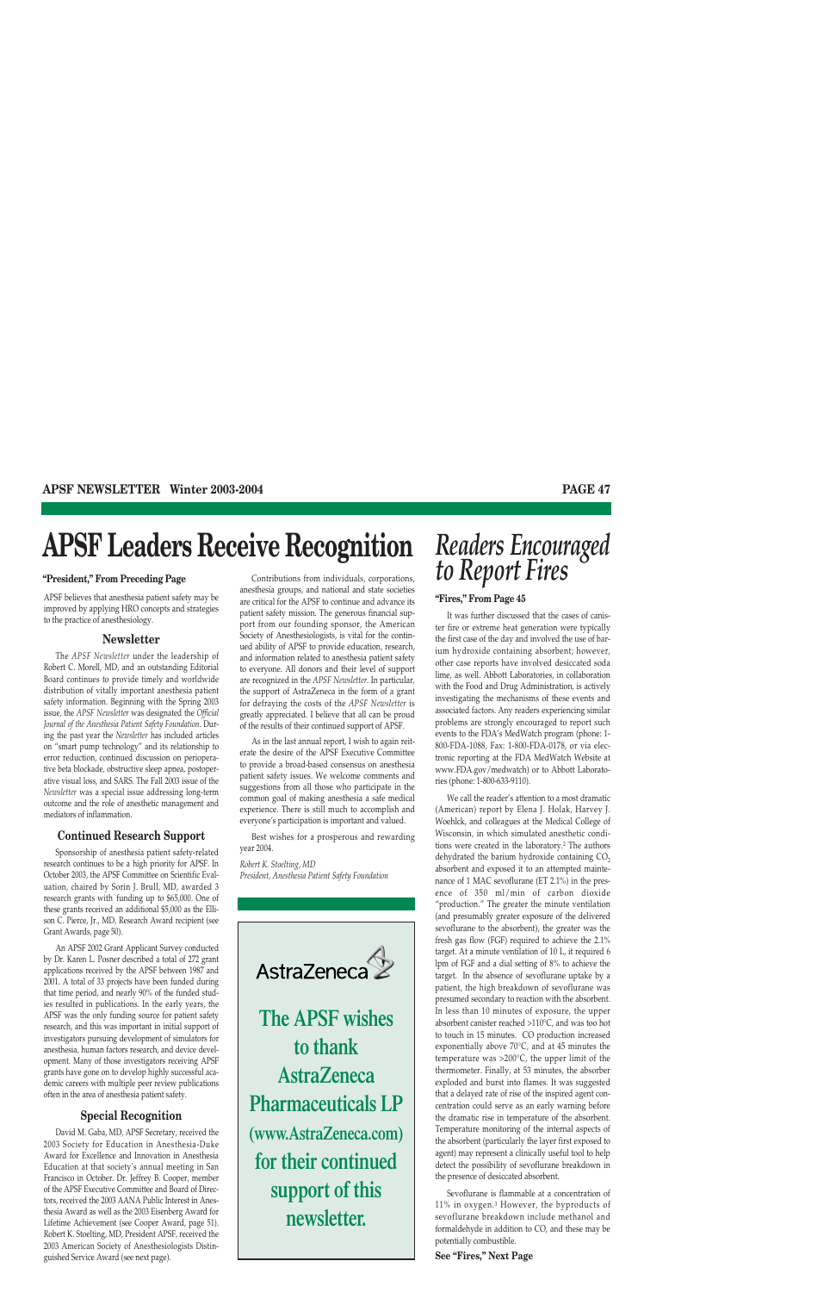# **APSF Leaders Receive Recognition**

APSF believes that anesthesia patient safety may be improved by applying HRO concepts and strategies to the practice of anesthesiology.

#### **Newsletter**

The *APSF Newsletter* under the leadership of Robert C. Morell, MD, and an outstanding Editorial Board continues to provide timely and worldwide distribution of vitally important anesthesia patient safety information. Beginning with the Spring 2003 issue, the *APSF Newsletter* was designated the *Official Journal of the Anesthesia Patient Safety Foundation*. During the past year the *Newsletter* has included articles on "smart pump technology" and its relationship to error reduction, continued discussion on perioperative beta blockade, obstructive sleep apnea, postoperative visual loss, and SARS. The Fall 2003 issue of the *Newsletter* was a special issue addressing long-term outcome and the role of anesthetic management and mediators of inflammation.

#### **Continued Research Support**

Sponsorship of anesthesia patient safety-related research continues to be a high priority for APSF. In October 2003, the APSF Committee on Scientific Evaluation, chaired by Sorin J. Brull, MD, awarded 3 research grants with funding up to \$65,000. One of these grants received an additional \$5,000 as the Ellison C. Pierce, Jr., MD, Research Award recipient (see Grant Awards, page 50).

An APSF 2002 Grant Applicant Survey conducted by Dr. Karen L. Posner described a total of 272 grant applications received by the APSF between 1987 and 2001. A total of 33 projects have been funded during that time period, and nearly 90% of the funded studies resulted in publications. In the early years, the APSF was the only funding source for patient safety research, and this was important in initial support of investigators pursuing development of simulators for anesthesia, human factors research, and device development. Many of those investigators receiving APSF grants have gone on to develop highly successful academic careers with multiple peer review publications often in the area of anesthesia patient safety.

## **Special Recognition**

David M. Gaba, MD, APSF Secretary, received the 2003 Society for Education in Anesthesia-Duke Award for Excellence and Innovation in Anesthesia Education at that society's annual meeting in San Francisco in October. Dr. Jeffrey B. Cooper, member of the APSF Executive Committee and Board of Directors, received the 2003 AANA Public Interest in Anesthesia Award as well as the 2003 Eisenberg Award for Lifetime Achievement (see Cooper Award, page 51). Robert K. Stoelting, MD, President APSF, received the 2003 American Society of Anesthesiologists Distinguished Service Award (see next page).

Contributions from individuals, corporations, anesthesia groups, and national and state societies are critical for the APSF to continue and advance its patient safety mission. The generous financial support from our founding sponsor, the American Society of Anesthesiologists, is vital for the continued ability of APSF to provide education, research, and information related to anesthesia patient safety to everyone. All donors and their level of support are recognized in the *APSF Newsletter*. In particular, the support of AstraZeneca in the form of a grant for defraying the costs of the *APSF Newsletter* is greatly appreciated. I believe that all can be proud of the results of their continued support of APSF.

As in the last annual report, I wish to again reiterate the desire of the APSF Executive Committee to provide a broad-based consensus on anesthesia patient safety issues. We welcome comments and suggestions from all those who participate in the common goal of making anesthesia a safe medical experience. There is still much to accomplish and everyone's participation is important and valued.

Best wishes for a prosperous and rewarding year 2004.

*Robert K. Stoelting, MD President, Anesthesia Patient Safety Foundation* 



**The APSF wishes to thank AstraZeneca Pharmaceuticals LP (www.AstraZeneca.com) for their continued support of this newsletter.**

# *Readers Encouraged* **10 Report Fires "President," From Preceding Page** *Contributions from individuals, corporations,* to **Report Fires**

#### **"Fires," From Page 45**

It was further discussed that the cases of canister fire or extreme heat generation were typically the first case of the day and involved the use of barium hydroxide containing absorbent; however, other case reports have involved desiccated soda lime, as well. Abbott Laboratories, in collaboration with the Food and Drug Administration, is actively investigating the mechanisms of these events and associated factors. Any readers experiencing similar problems are strongly encouraged to report such events to the FDA's MedWatch program (phone: 1- 800-FDA-1088, Fax: 1-800-FDA-0178, or via electronic reporting at the FDA MedWatch Website at www.FDA.gov/medwatch) or to Abbott Laboratories (phone: 1-800-633-9110).

We call the reader's attention to a most dramatic (American) report by Elena J. Holak, Harvey J. Woehlck, and colleagues at the Medical College of Wisconsin, in which simulated anesthetic conditions were created in the laboratory.2 The authors dehydrated the barium hydroxide containing  $CO<sub>2</sub>$ absorbent and exposed it to an attempted maintenance of 1 MAC sevoflurane (ET 2.1%) in the presence of 350 ml/min of carbon dioxide "production." The greater the minute ventilation (and presumably greater exposure of the delivered sevoflurane to the absorbent), the greater was the fresh gas flow (FGF) required to achieve the 2.1% target. At a minute ventilation of 10 L, it required 6 lpm of FGF and a dial setting of 8% to achieve the target. In the absence of sevoflurane uptake by a patient, the high breakdown of sevoflurane was presumed secondary to reaction with the absorbent. In less than 10 minutes of exposure, the upper absorbent canister reached >110°C, and was too hot to touch in 15 minutes. CO production increased exponentially above 70°C, and at 45 minutes the temperature was >200°C, the upper limit of the thermometer. Finally, at 53 minutes, the absorber exploded and burst into flames. It was suggested that a delayed rate of rise of the inspired agent concentration could serve as an early warning before the dramatic rise in temperature of the absorbent. Temperature monitoring of the internal aspects of the absorbent (particularly the layer first exposed to agent) may represent a clinically useful tool to help detect the possibility of sevoflurane breakdown in the presence of desiccated absorbent.

Sevoflurane is flammable at a concentration of 11% in oxygen.3 However, the byproducts of sevoflurane breakdown include methanol and formaldehyde in addition to CO, and these may be potentially combustible.

**See "Fires," Next Page**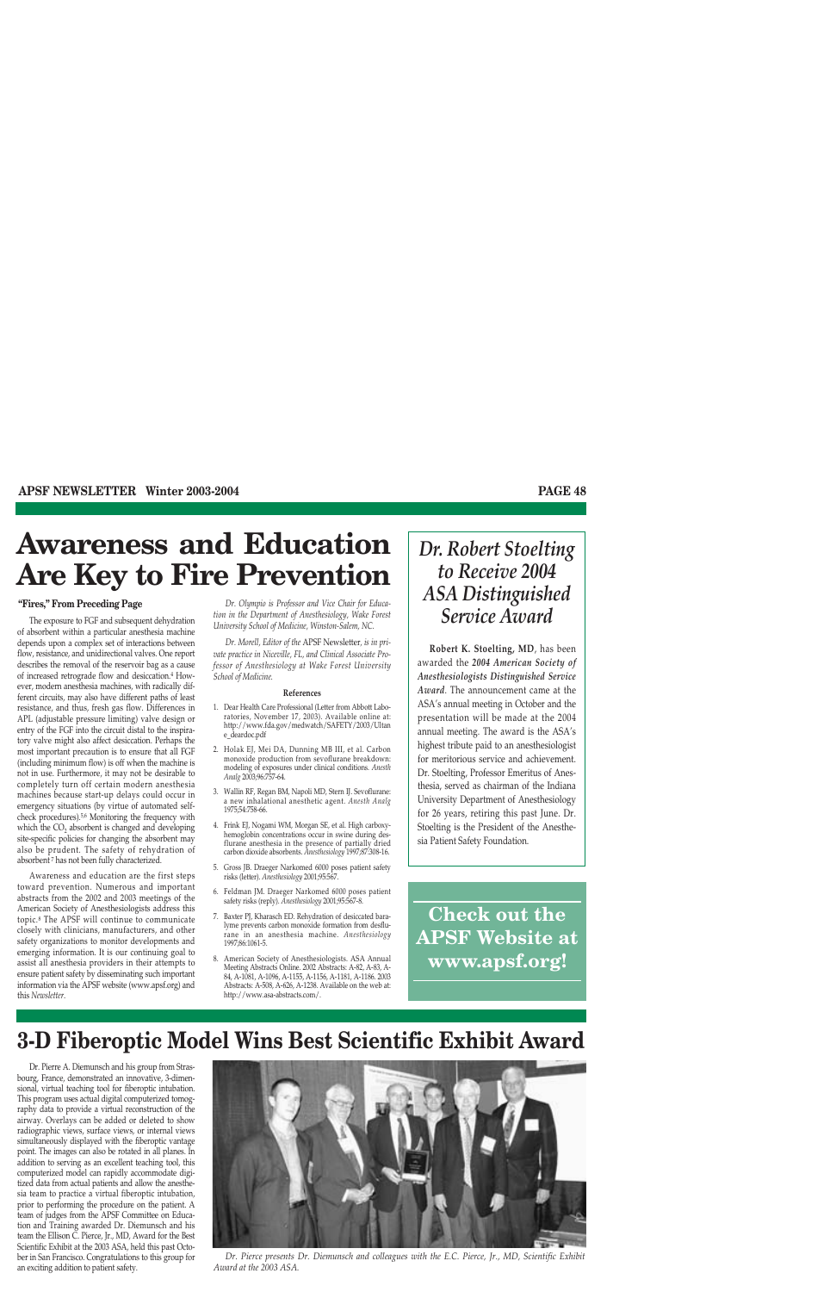# **Awareness and Education Are Key to Fire Prevention**

#### **"Fires," From Preceding Page**

The exposure to FGF and subsequent dehydration of absorbent within a particular anesthesia machine depends upon a complex set of interactions between flow, resistance, and unidirectional valves. One report describes the removal of the reservoir bag as a cause of increased retrograde flow and desiccation.4 However, modern anesthesia machines, with radically different circuits, may also have different paths of least resistance, and thus, fresh gas flow. Differences in APL (adjustable pressure limiting) valve design or entry of the FGF into the circuit distal to the inspiratory valve might also affect desiccation. Perhaps the most important precaution is to ensure that all FGF (including minimum flow) is off when the machine is not in use. Furthermore, it may not be desirable to completely turn off certain modern anesthesia machines because start-up delays could occur in emergency situations (by virtue of automated selfcheck procedures).5,6 Monitoring the frequency with which the  $CO<sub>2</sub>$  absorbent is changed and developing site-specific policies for changing the absorbent may also be prudent. The safety of rehydration of absorbent <sup>7</sup> has not been fully characterized.

Awareness and education are the first steps toward prevention. Numerous and important abstracts from the 2002 and 2003 meetings of the American Society of Anesthesiologists address this topic.8 The APSF will continue to communicate closely with clinicians, manufacturers, and other safety organizations to monitor developments and emerging information. It is our continuing goal to assist all anesthesia providers in their attempts to ensure patient safety by disseminating such important information via the APSF website (www.apsf.org) and this *Newsletter*.

*Dr. Olympio is Professor and Vice Chair for Education in the Department of Anesthesiology, Wake Forest University School of Medicine, Winston-Salem, NC.* 

*Dr. Morell, Editor of the* APSF Newsletter*, is in private practice in Niceville, FL, and Clinical Associate Professor of Anesthesiology at Wake Forest University School of Medicine.*

#### **References**

- 1. Dear Health Care Professional (Letter from Abbott Laboratories, November 17, 2003). Available online at: http://www.fda.gov/medwatch/SAFETY/2003/Ultan e\_deardoc.pdf
- 2. Holak EJ, Mei DA, Dunning MB III, et al. Carbon monoxide production from sevoflurane breakdown: modeling of exposures under clinical conditions. *Anesth Analg* 2003;96:757-64.
- 3. Wallin RF, Regan BM, Napoli MD, Stern IJ. Sevoflurane: a new inhalational anesthetic agent. *Anesth Analg* 1975;54:758-66.
- 4. Frink EJ, Nogami WM, Morgan SE, et al. High carboxyhemoglobin concentrations occur in swine during desflurane anesthesia in the presence of partially dried carbon dioxide absorbents. *Anesthesiology* 1997;87:308-16.
- 5. Gross JB. Draeger Narkomed 6000 poses patient safety risks (letter). *Anesthesiology* 2001;95:567.
- 6. Feldman JM. Draeger Narkomed 6000 poses patient safety risks (reply). *Anesthesiology* 2001;95:567-8.
- 7. Baxter PJ, Kharasch ED. Rehydration of desiccated baralyme prevents carbon monoxide formation from desflurane in an anesthesia machine. *Anesthesiology* 1997;86:1061-5.
- 8. American Society of Anesthesiologists. ASA Annual Meeting Abstracts Online. 2002 Abstracts: A-82, A-83, A-84, A-1081, A-1096, A-1155, A-1156, A-1181, A-1186. 2003 Abstracts: A-508, A-626, A-1238. Available on the web at: http://www.asa-abstracts.com/.

## *Dr. Robert Stoelting to Receive 2004 ASA Distinguished Service Award*

**Robert K. Stoelting, MD**, has been awarded the *2004 American Society of Anesthesiologists Distinguished Service Award*. The announcement came at the ASA's annual meeting in October and the presentation will be made at the 2004 annual meeting. The award is the ASA's highest tribute paid to an anesthesiologist for meritorious service and achievement. Dr. Stoelting, Professor Emeritus of Anesthesia, served as chairman of the Indiana University Department of Anesthesiology for 26 years, retiring this past June. Dr. Stoelting is the President of the Anesthesia Patient Safety Foundation.

**Check out the APSF Website at www.apsf.org!**

## **3-D Fiberoptic Model Wins Best Scientific Exhibit Award**

Dr. Pierre A. Diemunsch and his group from Strasbourg, France, demonstrated an innovative, 3-dimensional, virtual teaching tool for fiberoptic intubation. This program uses actual digital computerized tomography data to provide a virtual reconstruction of the airway. Overlays can be added or deleted to show radiographic views, surface views, or internal views simultaneously displayed with the fiberoptic vantage point. The images can also be rotated in all planes. In addition to serving as an excellent teaching tool, this computerized model can rapidly accommodate digitized data from actual patients and allow the anesthesia team to practice a virtual fiberoptic intubation, prior to performing the procedure on the patient. A team of judges from the APSF Committee on Education and Training awarded Dr. Diemunsch and his team the Ellison C. Pierce, Jr., MD, Award for the Best Scientific Exhibit at the 2003 ASA, held this past October in San Francisco. Congratulations to this group for an exciting addition to patient safety.



*Dr. Pierce presents Dr. Diemunsch and colleagues with the E.C. Pierce, Jr., MD, Scientific Exhibit Award at the 2003 ASA.*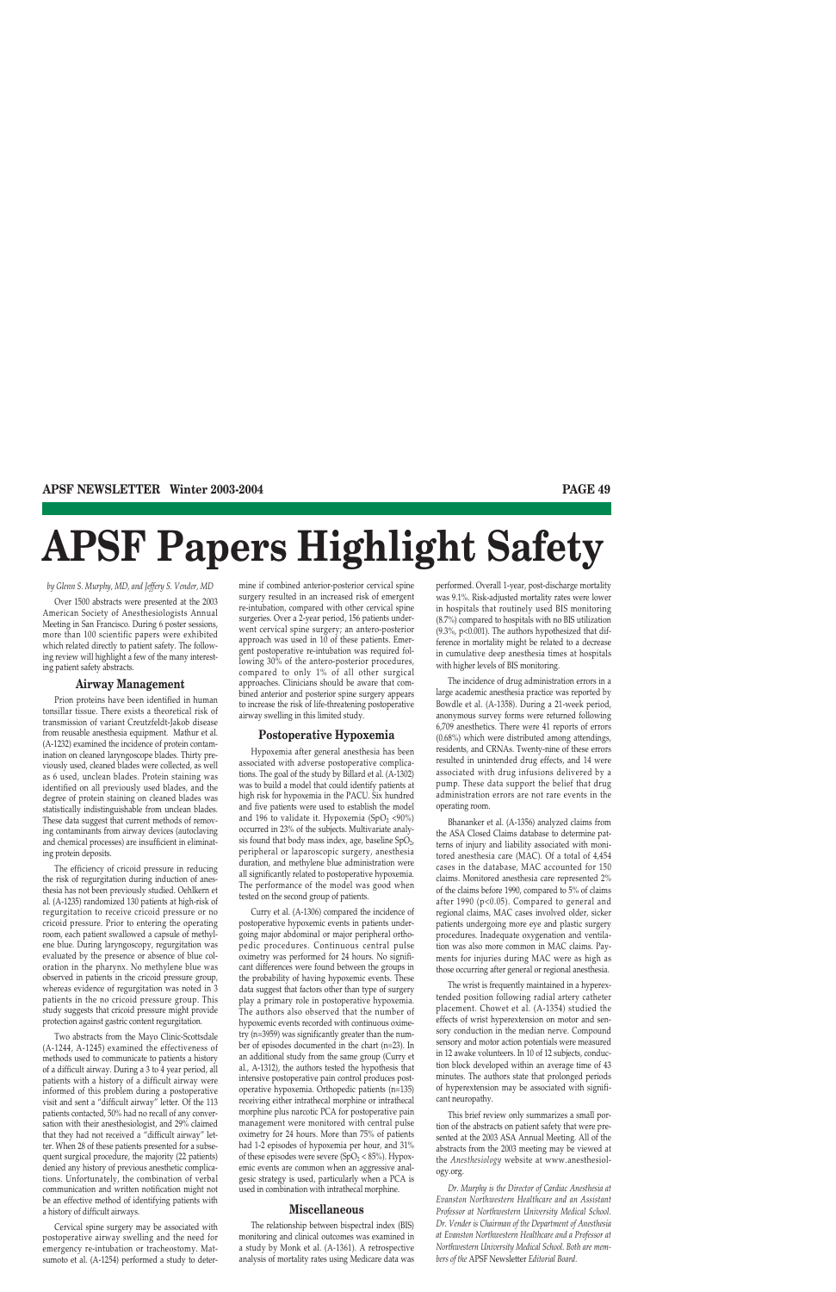# **APSF Papers Highlight Safety**

*by Glenn S. Murphy, MD, and Jeffery S. Vender, MD*

Over 1500 abstracts were presented at the 2003 American Society of Anesthesiologists Annual Meeting in San Francisco. During 6 poster sessions, more than 100 scientific papers were exhibited which related directly to patient safety. The following review will highlight a few of the many interesting patient safety abstracts.

#### **Airway Management**

Prion proteins have been identified in human tonsillar tissue. There exists a theoretical risk of transmission of variant Creutzfeldt-Jakob disease from reusable anesthesia equipment. Mathur et al. (A-1232) examined the incidence of protein contamination on cleaned laryngoscope blades. Thirty previously used, cleaned blades were collected, as well as 6 used, unclean blades. Protein staining was identified on all previously used blades, and the degree of protein staining on cleaned blades was statistically indistinguishable from unclean blades. These data suggest that current methods of removing contaminants from airway devices (autoclaving and chemical processes) are insufficient in eliminating protein deposits.

The efficiency of cricoid pressure in reducing the risk of regurgitation during induction of anesthesia has not been previously studied. Oehlkern et al. (A-1235) randomized 130 patients at high-risk of regurgitation to receive cricoid pressure or no cricoid pressure. Prior to entering the operating room, each patient swallowed a capsule of methylene blue. During laryngoscopy, regurgitation was evaluated by the presence or absence of blue coloration in the pharynx. No methylene blue was observed in patients in the cricoid pressure group, whereas evidence of regurgitation was noted in 3 patients in the no cricoid pressure group. This study suggests that cricoid pressure might provide protection against gastric content regurgitation.

Two abstracts from the Mayo Clinic-Scottsdale (A-1244, A-1245) examined the effectiveness of methods used to communicate to patients a history of a difficult airway. During a 3 to 4 year period, all patients with a history of a difficult airway were informed of this problem during a postoperative visit and sent a "difficult airway" letter. Of the 113 patients contacted, 50% had no recall of any conversation with their anesthesiologist, and 29% claimed that they had not received a "difficult airway" letter. When 28 of these patients presented for a subsequent surgical procedure, the majority (22 patients) denied any history of previous anesthetic complications. Unfortunately, the combination of verbal communication and written notification might not be an effective method of identifying patients with a history of difficult airways.

Cervical spine surgery may be associated with postoperative airway swelling and the need for emergency re-intubation or tracheostomy. Matsumoto et al. (A-1254) performed a study to determine if combined anterior-posterior cervical spine surgery resulted in an increased risk of emergent re-intubation, compared with other cervical spine surgeries. Over a 2-year period, 156 patients underwent cervical spine surgery; an antero-posterior approach was used in 10 of these patients. Emergent postoperative re-intubation was required following 30% of the antero-posterior procedures, compared to only 1% of all other surgical approaches. Clinicians should be aware that combined anterior and posterior spine surgery appears to increase the risk of life-threatening postoperative airway swelling in this limited study.

#### **Postoperative Hypoxemia**

Hypoxemia after general anesthesia has been associated with adverse postoperative complications. The goal of the study by Billard et al. (A-1302) was to build a model that could identify patients at high risk for hypoxemia in the PACU. Six hundred and five patients were used to establish the model and 196 to validate it. Hypoxemia (SpO<sub>2</sub> <90%) occurred in 23% of the subjects. Multivariate analysis found that body mass index, age, baseline  $SpO<sub>2</sub>$ , peripheral or laparoscopic surgery, anesthesia duration, and methylene blue administration were all significantly related to postoperative hypoxemia. The performance of the model was good when tested on the second group of patients.

Curry et al. (A-1306) compared the incidence of postoperative hypoxemic events in patients undergoing major abdominal or major peripheral orthopedic procedures. Continuous central pulse oximetry was performed for 24 hours. No significant differences were found between the groups in the probability of having hypoxemic events. These data suggest that factors other than type of surgery play a primary role in postoperative hypoxemia. The authors also observed that the number of hypoxemic events recorded with continuous oximetry (n=3959) was significantly greater than the number of episodes documented in the chart (n=23). In an additional study from the same group (Curry et al., A-1312), the authors tested the hypothesis that intensive postoperative pain control produces postoperative hypoxemia. Orthopedic patients (n=135) receiving either intrathecal morphine or intrathecal morphine plus narcotic PCA for postoperative pain management were monitored with central pulse oximetry for 24 hours. More than 75% of patients had 1-2 episodes of hypoxemia per hour, and 31% of these episodes were severe ( $SpO<sub>2</sub> < 85%$ ). Hypoxemic events are common when an aggressive analgesic strategy is used, particularly when a PCA is used in combination with intrathecal morphine.

#### **Miscellaneous**

The relationship between bispectral index (BIS) monitoring and clinical outcomes was examined in a study by Monk et al. (A-1361). A retrospective analysis of mortality rates using Medicare data was

performed. Overall 1-year, post-discharge mortality was 9.1%. Risk-adjusted mortality rates were lower in hospitals that routinely used BIS monitoring (8.7%) compared to hospitals with no BIS utilization (9.3%, p<0.001). The authors hypothesized that difference in mortality might be related to a decrease in cumulative deep anesthesia times at hospitals with higher levels of BIS monitoring.

The incidence of drug administration errors in a large academic anesthesia practice was reported by Bowdle et al. (A-1358). During a 21-week period, anonymous survey forms were returned following 6,709 anesthetics. There were 41 reports of errors (0.68%) which were distributed among attendings, residents, and CRNAs. Twenty-nine of these errors resulted in unintended drug effects, and 14 were associated with drug infusions delivered by a pump. These data support the belief that drug administration errors are not rare events in the operating room.

Bhananker et al. (A-1356) analyzed claims from the ASA Closed Claims database to determine patterns of injury and liability associated with monitored anesthesia care (MAC). Of a total of 4,454 cases in the database, MAC accounted for 150 claims. Monitored anesthesia care represented 2% of the claims before 1990, compared to 5% of claims after 1990 (p<0.05). Compared to general and regional claims, MAC cases involved older, sicker patients undergoing more eye and plastic surgery procedures. Inadequate oxygenation and ventilation was also more common in MAC claims. Payments for injuries during MAC were as high as those occurring after general or regional anesthesia.

The wrist is frequently maintained in a hyperextended position following radial artery catheter placement. Chowet et al. (A-1354) studied the effects of wrist hyperextension on motor and sensory conduction in the median nerve. Compound sensory and motor action potentials were measured in 12 awake volunteers. In 10 of 12 subjects, conduction block developed within an average time of 43 minutes. The authors state that prolonged periods of hyperextension may be associated with significant neuropathy.

This brief review only summarizes a small portion of the abstracts on patient safety that were presented at the 2003 ASA Annual Meeting. All of the abstracts from the 2003 meeting may be viewed at the *Anesthesiology* website at www.anesthesiology.org.

*Dr. Murphy is the Director of Cardiac Anesthesia at Evanston Northwestern Healthcare and an Assistant Professor at Northwestern University Medical School. Dr. Vender is Chairman of the Department of Anesthesia at Evanston Northwestern Healthcare and a Professor at Northwestern University Medical School. Both are members of the* APSF Newsletter *Editorial Board.*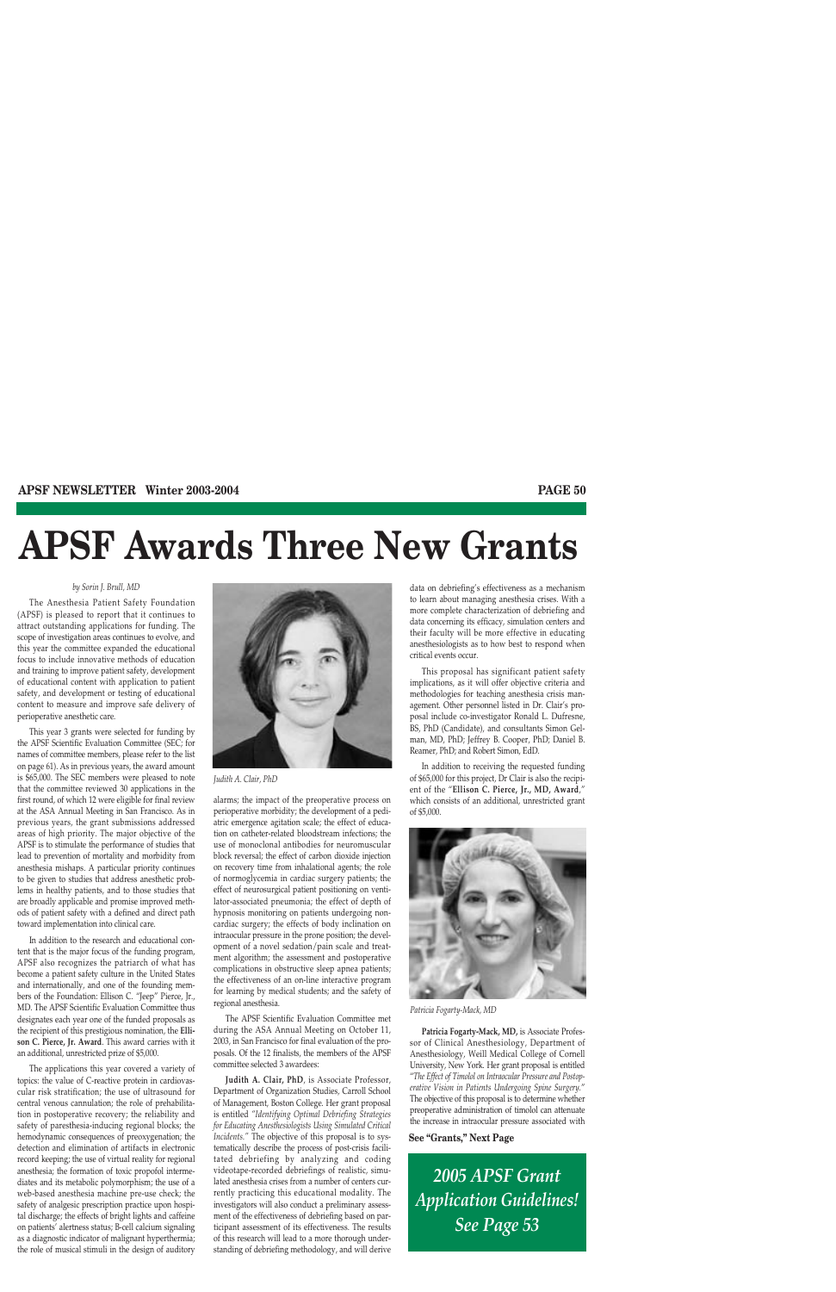# **APSF Awards Three New Grants**

#### *by Sorin J. Brull, MD*

The Anesthesia Patient Safety Foundation (APSF) is pleased to report that it continues to attract outstanding applications for funding. The scope of investigation areas continues to evolve, and this year the committee expanded the educational focus to include innovative methods of education and training to improve patient safety, development of educational content with application to patient safety, and development or testing of educational content to measure and improve safe delivery of perioperative anesthetic care.

This year 3 grants were selected for funding by the APSF Scientific Evaluation Committee (SEC; for names of committee members, please refer to the list on page 61). As in previous years, the award amount is \$65,000. The SEC members were pleased to note that the committee reviewed 30 applications in the first round, of which 12 were eligible for final review at the ASA Annual Meeting in San Francisco. As in previous years, the grant submissions addressed areas of high priority. The major objective of the APSF is to stimulate the performance of studies that lead to prevention of mortality and morbidity from anesthesia mishaps. A particular priority continues to be given to studies that address anesthetic problems in healthy patients, and to those studies that are broadly applicable and promise improved methods of patient safety with a defined and direct path toward implementation into clinical care.

In addition to the research and educational content that is the major focus of the funding program, APSF also recognizes the patriarch of what has become a patient safety culture in the United States and internationally, and one of the founding members of the Foundation: Ellison C. "Jeep" Pierce, Jr., MD. The APSF Scientific Evaluation Committee thus designates each year one of the funded proposals as the recipient of this prestigious nomination, the **Ellison C. Pierce, Jr. Award**. This award carries with it an additional, unrestricted prize of \$5,000.

The applications this year covered a variety of topics: the value of C-reactive protein in cardiovascular risk stratification; the use of ultrasound for central venous cannulation; the role of prehabilitation in postoperative recovery; the reliability and safety of paresthesia-inducing regional blocks; the hemodynamic consequences of preoxygenation; the detection and elimination of artifacts in electronic record keeping; the use of virtual reality for regional anesthesia; the formation of toxic propofol intermediates and its metabolic polymorphism; the use of a web-based anesthesia machine pre-use check; the safety of analgesic prescription practice upon hospital discharge; the effects of bright lights and caffeine on patients' alertness status; B-cell calcium signaling as a diagnostic indicator of malignant hyperthermia; the role of musical stimuli in the design of auditory



*Judith A. Clair, PhD*

alarms; the impact of the preoperative process on perioperative morbidity; the development of a pediatric emergence agitation scale; the effect of education on catheter-related bloodstream infections; the use of monoclonal antibodies for neuromuscular block reversal; the effect of carbon dioxide injection on recovery time from inhalational agents; the role of normoglycemia in cardiac surgery patients; the effect of neurosurgical patient positioning on ventilator-associated pneumonia; the effect of depth of hypnosis monitoring on patients undergoing noncardiac surgery; the effects of body inclination on intraocular pressure in the prone position; the development of a novel sedation/pain scale and treatment algorithm; the assessment and postoperative complications in obstructive sleep apnea patients; the effectiveness of an on-line interactive program for learning by medical students; and the safety of regional anesthesia.

The APSF Scientific Evaluation Committee met during the ASA Annual Meeting on October 11, 2003, in San Francisco for final evaluation of the proposals. Of the 12 finalists, the members of the APSF committee selected 3 awardees:

**Judith A. Clair, PhD**, is Associate Professor, Department of Organization Studies, Carroll School of Management, Boston College. Her grant proposal is entitled *"Identifying Optimal Debriefing Strategies for Educating Anesthesiologists Using Simulated Critical Incidents."* The objective of this proposal is to systematically describe the process of post-crisis facilitated debriefing by analyzing and coding videotape-recorded debriefings of realistic, simulated anesthesia crises from a number of centers currently practicing this educational modality. The investigators will also conduct a preliminary assessment of the effectiveness of debriefing based on participant assessment of its effectiveness. The results of this research will lead to a more thorough understanding of debriefing methodology, and will derive

data on debriefing's effectiveness as a mechanism to learn about managing anesthesia crises. With a more complete characterization of debriefing and data concerning its efficacy, simulation centers and their faculty will be more effective in educating anesthesiologists as to how best to respond when critical events occur.

This proposal has significant patient safety implications, as it will offer objective criteria and methodologies for teaching anesthesia crisis management. Other personnel listed in Dr. Clair's proposal include co-investigator Ronald L. Dufresne, BS, PhD (Candidate), and consultants Simon Gelman, MD, PhD; Jeffrey B. Cooper, PhD; Daniel B. Reamer, PhD; and Robert Simon, EdD.

In addition to receiving the requested funding of \$65,000 for this project, Dr Clair is also the recipient of the "**Ellison C. Pierce, Jr., MD, Award**," which consists of an additional, unrestricted grant of \$5,000.



*Patricia Fogarty-Mack, MD*

**Patricia Fogarty-Mack, MD,** is Associate Professor of Clinical Anesthesiology, Department of Anesthesiology, Weill Medical College of Cornell University, New York. Her grant proposal is entitled "*The Effect of Timolol on Intraocular Pressure and Postoperative Vision in Patients Undergoing Spine Surgery.*" The objective of this proposal is to determine whether preoperative administration of timolol can attenuate the increase in intraocular pressure associated with

#### **See "Grants," Next Page**

*2005 APSF Grant Application Guidelines! See Page 53*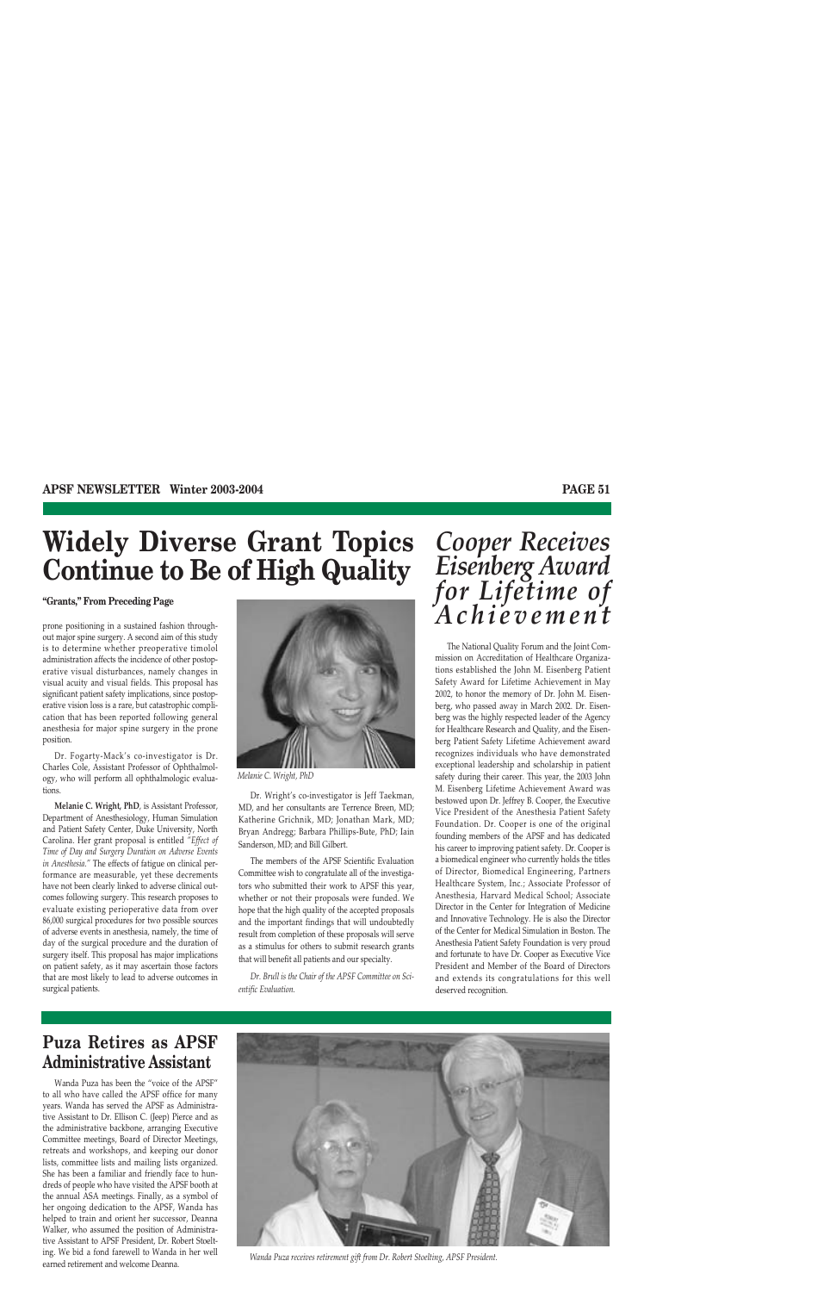# **Widely Diverse Grant Topics Continue to Be of High Quality**

#### **"Grants," From Preceding Page**

prone positioning in a sustained fashion throughout major spine surgery. A second aim of this study is to determine whether preoperative timolol administration affects the incidence of other postoperative visual disturbances, namely changes in visual acuity and visual fields. This proposal has significant patient safety implications, since postoperative vision loss is a rare, but catastrophic complication that has been reported following general anesthesia for major spine surgery in the prone position.

Dr. Fogarty-Mack's co-investigator is Dr. Charles Cole, Assistant Professor of Ophthalmology, who will perform all ophthalmologic evaluations.

**Melanie C. Wright, PhD**, is Assistant Professor, Department of Anesthesiology, Human Simulation and Patient Safety Center, Duke University, North Carolina. Her grant proposal is entitled *"Effect of Time of Day and Surgery Duration on Adverse Events in Anesthesia."* The effects of fatigue on clinical performance are measurable, yet these decrements have not been clearly linked to adverse clinical outcomes following surgery. This research proposes to evaluate existing perioperative data from over 86,000 surgical procedures for two possible sources of adverse events in anesthesia, namely, the time of day of the surgical procedure and the duration of surgery itself. This proposal has major implications on patient safety, as it may ascertain those factors that are most likely to lead to adverse outcomes in surgical patients.



*Melanie C. Wright, PhD*

Dr. Wright's co-investigator is Jeff Taekman, MD, and her consultants are Terrence Breen, MD; Katherine Grichnik, MD; Jonathan Mark, MD; Bryan Andregg; Barbara Phillips-Bute, PhD; Iain Sanderson, MD; and Bill Gilbert.

The members of the APSF Scientific Evaluation Committee wish to congratulate all of the investigators who submitted their work to APSF this year, whether or not their proposals were funded. We hope that the high quality of the accepted proposals and the important findings that will undoubtedly result from completion of these proposals will serve as a stimulus for others to submit research grants that will benefit all patients and our specialty.

*Dr. Brull is the Chair of the APSF Committee on Scientific Evaluation.*

# *Cooper Receives Eisenberg Award for Lifetime of Achievement*

The National Quality Forum and the Joint Commission on Accreditation of Healthcare Organizations established the John M. Eisenberg Patient Safety Award for Lifetime Achievement in May 2002, to honor the memory of Dr. John M. Eisenberg, who passed away in March 2002. Dr. Eisenberg was the highly respected leader of the Agency for Healthcare Research and Quality, and the Eisenberg Patient Safety Lifetime Achievement award recognizes individuals who have demonstrated exceptional leadership and scholarship in patient safety during their career. This year, the 2003 John M. Eisenberg Lifetime Achievement Award was bestowed upon Dr. Jeffrey B. Cooper, the Executive Vice President of the Anesthesia Patient Safety Foundation. Dr. Cooper is one of the original founding members of the APSF and has dedicated his career to improving patient safety. Dr. Cooper is a biomedical engineer who currently holds the titles of Director, Biomedical Engineering, Partners Healthcare System, Inc.; Associate Professor of Anesthesia, Harvard Medical School; Associate Director in the Center for Integration of Medicine and Innovative Technology. He is also the Director of the Center for Medical Simulation in Boston. The Anesthesia Patient Safety Foundation is very proud and fortunate to have Dr. Cooper as Executive Vice President and Member of the Board of Directors and extends its congratulations for this well deserved recognition.

## **Puza Retires as APSF Administrative Assistant**

Wanda Puza has been the "voice of the APSF" to all who have called the APSF office for many years. Wanda has served the APSF as Administrative Assistant to Dr. Ellison C. (Jeep) Pierce and as the administrative backbone, arranging Executive Committee meetings, Board of Director Meetings, retreats and workshops, and keeping our donor lists, committee lists and mailing lists organized. She has been a familiar and friendly face to hundreds of people who have visited the APSF booth at the annual ASA meetings. Finally, as a symbol of her ongoing dedication to the APSF, Wanda has helped to train and orient her successor, Deanna Walker, who assumed the position of Administrative Assistant to APSF President, Dr. Robert Stoelting. We bid a fond farewell to Wanda in her well earned retirement and welcome Deanna. *Wanda Puza receives retirement gift from Dr. Robert Stoelting, APSF President.*

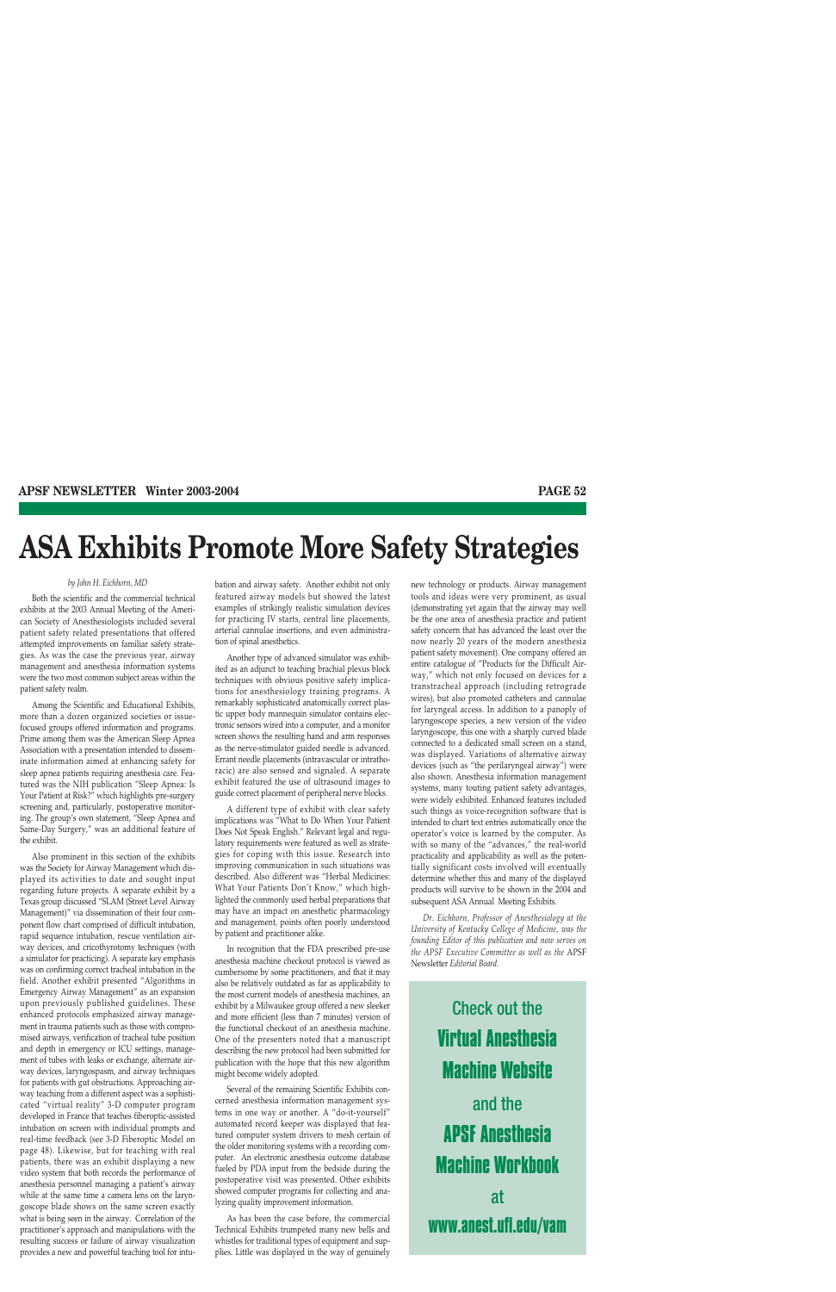# **ASA Exhibits Promote More Safety Strategies**

#### *by John H. Eichhorn, MD*

Both the scientific and the commercial technical exhibits at the 2003 Annual Meeting of the American Society of Anesthesiologists included several patient safety related presentations that offered attempted improvements on familiar safety strategies. As was the case the previous year, airway management and anesthesia information systems were the two most common subject areas within the patient safety realm.

Among the Scientific and Educational Exhibits, more than a dozen organized societies or issuefocused groups offered information and programs. Prime among them was the American Sleep Apnea Association with a presentation intended to disseminate information aimed at enhancing safety for sleep apnea patients requiring anesthesia care. Featured was the NIH publication "Sleep Apnea: Is Your Patient at Risk?" which highlights pre-surgery screening and, particularly, postoperative monitoring. The group's own statement, "Sleep Apnea and Same-Day Surgery," was an additional feature of the exhibit.

Also prominent in this section of the exhibits was the Society for Airway Management which displayed its activities to date and sought input regarding future projects. A separate exhibit by a Texas group discussed "SLAM (Street Level Airway Management)" via dissemination of their four component flow chart comprised of difficult intubation, rapid sequence intubation, rescue ventilation airway devices, and cricothyrotomy techniques (with a simulator for practicing). A separate key emphasis was on confirming correct tracheal intubation in the field. Another exhibit presented "Algorithms in Emergency Airway Management" as an expansion upon previously published guidelines. These enhanced protocols emphasized airway management in trauma patients such as those with compromised airways, verification of tracheal tube position and depth in emergency or ICU settings, management of tubes with leaks or exchange, alternate airway devices, laryngospasm, and airway techniques for patients with gut obstructions. Approaching airway teaching from a different aspect was a sophisticated "virtual reality" 3-D computer program developed in France that teaches fiberoptic-assisted intubation on screen with individual prompts and real-time feedback (see 3-D Fiberoptic Model on page 48). Likewise, but for teaching with real patients, there was an exhibit displaying a new video system that both records the performance of anesthesia personnel managing a patient's airway while at the same time a camera lens on the laryngoscope blade shows on the same screen exactly what is being seen in the airway. Correlation of the practitioner's approach and manipulations with the resulting success or failure of airway visualization provides a new and powerful teaching tool for intubation and airway safety. Another exhibit not only featured airway models but showed the latest examples of strikingly realistic simulation devices for practicing IV starts, central line placements, arterial cannulae insertions, and even administration of spinal anesthetics.

Another type of advanced simulator was exhibited as an adjunct to teaching brachial plexus block techniques with obvious positive safety implications for anesthesiology training programs. A remarkably sophisticated anatomically correct plastic upper body mannequin simulator contains electronic sensors wired into a computer, and a monitor screen shows the resulting hand and arm responses as the nerve-stimulator guided needle is advanced. Errant needle placements (intravascular or intrathoracic) are also sensed and signaled. A separate exhibit featured the use of ultrasound images to guide correct placement of peripheral nerve blocks.

A different type of exhibit with clear safety implications was "What to Do When Your Patient Does Not Speak English." Relevant legal and regulatory requirements were featured as well as strategies for coping with this issue. Research into improving communication in such situations was described. Also different was "Herbal Medicines: What Your Patients Don't Know," which highlighted the commonly used herbal preparations that may have an impact on anesthetic pharmacology and management, points often poorly understood by patient and practitioner alike.

In recognition that the FDA prescribed pre-use anesthesia machine checkout protocol is viewed as cumbersome by some practitioners, and that it may also be relatively outdated as far as applicability to the most current models of anesthesia machines, an exhibit by a Milwaukee group offered a new sleeker and more efficient (less than 7 minutes) version of the functional checkout of an anesthesia machine. One of the presenters noted that a manuscript describing the new protocol had been submitted for publication with the hope that this new algorithm might become widely adopted.

Several of the remaining Scientific Exhibits concerned anesthesia information management systems in one way or another. A "do-it-yourself" automated record keeper was displayed that featured computer system drivers to mesh certain of the older monitoring systems with a recording computer. An electronic anesthesia outcome database fueled by PDA input from the bedside during the postoperative visit was presented. Other exhibits showed computer programs for collecting and analyzing quality improvement information.

As has been the case before, the commercial Technical Exhibits trumpeted many new bells and whistles for traditional types of equipment and supplies. Little was displayed in the way of genuinely new technology or products. Airway management tools and ideas were very prominent, as usual (demonstrating yet again that the airway may well be the one area of anesthesia practice and patient safety concern that has advanced the least over the now nearly 20 years of the modern anesthesia patient safety movement). One company offered an entire catalogue of "Products for the Difficult Airway," which not only focused on devices for a transtracheal approach (including retrograde wires), but also promoted catheters and cannulae for laryngeal access. In addition to a panoply of laryngoscope species, a new version of the video laryngoscope, this one with a sharply curved blade connected to a dedicated small screen on a stand, was displayed. Variations of alternative airway devices (such as "the perilaryngeal airway") were also shown. Anesthesia information management systems, many touting patient safety advantages, were widely exhibited. Enhanced features included such things as voice-recognition software that is intended to chart text entries automatically once the operator's voice is learned by the computer. As with so many of the "advances," the real-world practicality and applicability as well as the potentially significant costs involved will eventually determine whether this and many of the displayed products will survive to be shown in the 2004 and subsequent ASA Annual Meeting Exhibits.

*Dr. Eichhorn, Professor of Anesthesiology at the University of Kentucky College of Medicine, was the founding Editor of this publication and now serves on the APSF Executive Committee as well as the* APSF Newsletter *Editorial Board.*

Check out the **Virtual Anesthesia Machine Website**  and the **APSF Anesthesia Machine Workbook**  at **www.anest.ufl.edu/vam**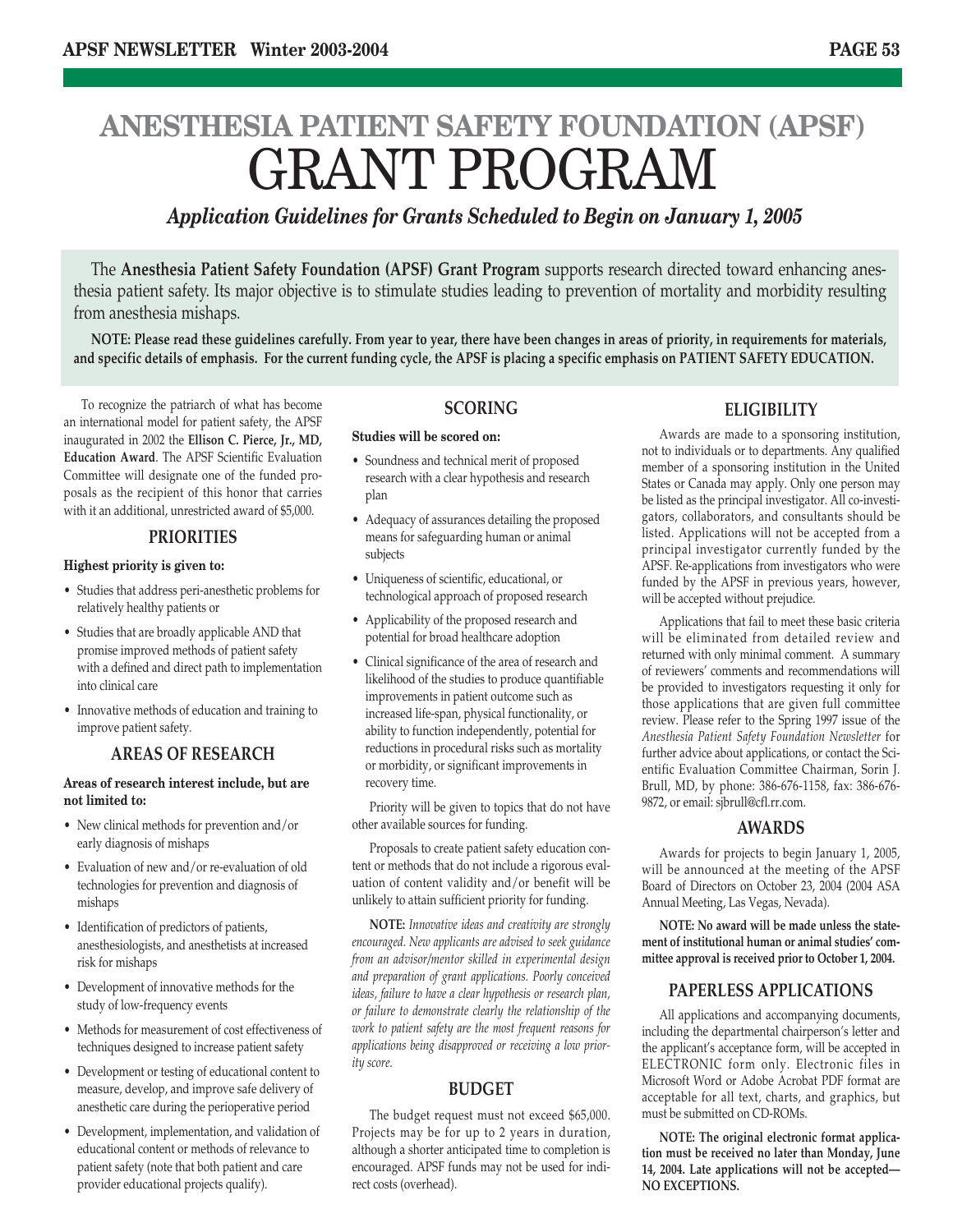# **ANESTHESIA PATIENT SAFETY FOUNDATION (APSF)** GRANT PROGRAM

## *Application Guidelines for Grants Scheduled to Begin on January 1, 2005*

The **Anesthesia Patient Safety Foundation (APSF) Grant Program** supports research directed toward enhancing anesthesia patient safety. Its major objective is to stimulate studies leading to prevention of mortality and morbidity resulting from anesthesia mishaps.

**NOTE: Please read these guidelines carefully. From year to year, there have been changes in areas of priority, in requirements for materials, and specific details of emphasis. For the current funding cycle, the APSF is placing a specific emphasis on PATIENT SAFETY EDUCATION.**

To recognize the patriarch of what has become an international model for patient safety, the APSF inaugurated in 2002 the **Ellison C. Pierce, Jr., MD, Education Award**. The APSF Scientific Evaluation Committee will designate one of the funded proposals as the recipient of this honor that carries with it an additional, unrestricted award of \$5,000.

### **PRIORITIES**

#### **Highest priority is given to:**

- Studies that address peri-anesthetic problems for relatively healthy patients or
- Studies that are broadly applicable AND that promise improved methods of patient safety with a defined and direct path to implementation into clinical care
- Innovative methods of education and training to improve patient safety.

## **AREAS OF RESEARCH**

#### **Areas of research interest include, but are not limited to:**

- New clinical methods for prevention and/or early diagnosis of mishaps
- Evaluation of new and/or re-evaluation of old technologies for prevention and diagnosis of mishaps
- Identification of predictors of patients, anesthesiologists, and anesthetists at increased risk for mishaps
- Development of innovative methods for the study of low-frequency events
- Methods for measurement of cost effectiveness of techniques designed to increase patient safety
- Development or testing of educational content to measure, develop, and improve safe delivery of anesthetic care during the perioperative period
- Development, implementation, and validation of educational content or methods of relevance to patient safety (note that both patient and care provider educational projects qualify).

## **SCORING**

#### **Studies will be scored on:**

- Soundness and technical merit of proposed research with a clear hypothesis and research plan
- Adequacy of assurances detailing the proposed means for safeguarding human or animal subjects
- Uniqueness of scientific, educational, or technological approach of proposed research
- Applicability of the proposed research and potential for broad healthcare adoption
- Clinical significance of the area of research and likelihood of the studies to produce quantifiable improvements in patient outcome such as increased life-span, physical functionality, or ability to function independently, potential for reductions in procedural risks such as mortality or morbidity, or significant improvements in recovery time.

Priority will be given to topics that do not have other available sources for funding.

Proposals to create patient safety education content or methods that do not include a rigorous evaluation of content validity and/or benefit will be unlikely to attain sufficient priority for funding.

**NOTE:** *Innovative ideas and creativity are strongly encouraged. New applicants are advised to seek guidance from an advisor/mentor skilled in experimental design and preparation of grant applications. Poorly conceived ideas, failure to have a clear hypothesis or research plan, or failure to demonstrate clearly the relationship of the work to patient safety are the most frequent reasons for applications being disapproved or receiving a low priority score.* 

#### **BUDGET**

The budget request must not exceed \$65,000. Projects may be for up to 2 years in duration, although a shorter anticipated time to completion is encouraged. APSF funds may not be used for indirect costs (overhead).

## **ELIGIBILITY**

Awards are made to a sponsoring institution, not to individuals or to departments. Any qualified member of a sponsoring institution in the United States or Canada may apply. Only one person may be listed as the principal investigator. All co-investigators, collaborators, and consultants should be listed. Applications will not be accepted from a principal investigator currently funded by the APSF. Re-applications from investigators who were funded by the APSF in previous years, however, will be accepted without prejudice.

Applications that fail to meet these basic criteria will be eliminated from detailed review and returned with only minimal comment. A summary of reviewers' comments and recommendations will be provided to investigators requesting it only for those applications that are given full committee review. Please refer to the Spring 1997 issue of the *Anesthesia Patient Safety Foundation Newsletter* for further advice about applications, or contact the Scientific Evaluation Committee Chairman, Sorin J. Brull, MD, by phone: 386-676-1158, fax: 386-676- 9872, or email: sjbrull@cfl.rr.com.

#### **AWARDS**

Awards for projects to begin January 1, 2005, will be announced at the meeting of the APSF Board of Directors on October 23, 2004 (2004 ASA Annual Meeting, Las Vegas, Nevada).

**NOTE: No award will be made unless the statement of institutional human or animal studies' committee approval is received prior to October 1, 2004.**

## **PAPERLESS APPLICATIONS**

All applications and accompanying documents, including the departmental chairperson's letter and the applicant's acceptance form, will be accepted in ELECTRONIC form only. Electronic files in Microsoft Word or Adobe Acrobat PDF format are acceptable for all text, charts, and graphics, but must be submitted on CD-ROMs.

**NOTE: The original electronic format application must be received no later than Monday, June 14, 2004. Late applications will not be accepted— NO EXCEPTIONS.**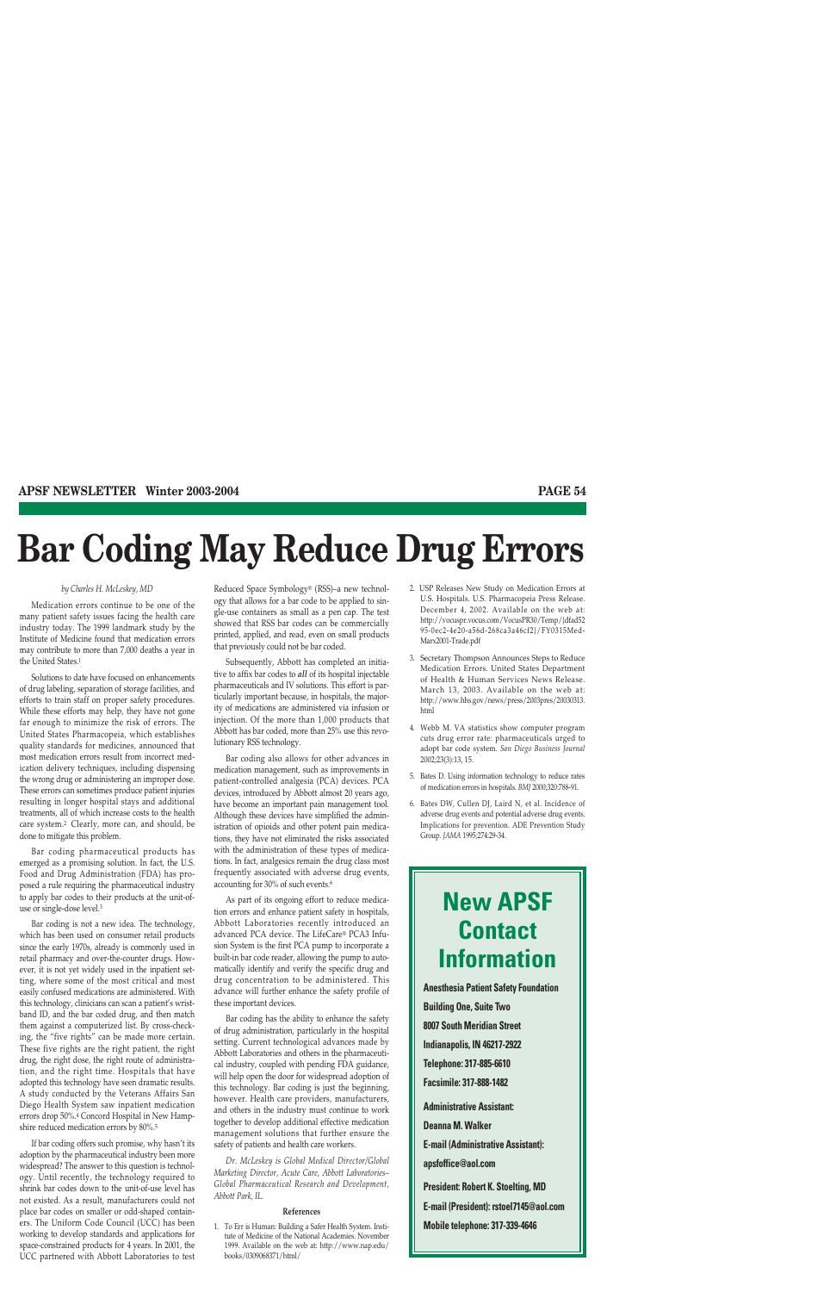# **Bar Coding May Reduce Drug Errors**

#### *by Charles H. McLeskey, MD*

Medication errors continue to be one of the many patient safety issues facing the health care industry today. The 1999 landmark study by the Institute of Medicine found that medication errors may contribute to more than 7,000 deaths a year in the United States.1

Solutions to date have focused on enhancements of drug labeling, separation of storage facilities, and efforts to train staff on proper safety procedures. While these efforts may help, they have not gone far enough to minimize the risk of errors. The United States Pharmacopeia, which establishes quality standards for medicines, announced that most medication errors result from incorrect medication delivery techniques, including dispensing the wrong drug or administering an improper dose. These errors can sometimes produce patient injuries resulting in longer hospital stays and additional treatments, all of which increase costs to the health care system.2 Clearly, more can, and should, be done to mitigate this problem.

Bar coding pharmaceutical products has emerged as a promising solution. In fact, the U.S. Food and Drug Administration (FDA) has proposed a rule requiring the pharmaceutical industry to apply bar codes to their products at the unit-ofuse or single-dose level.3

Bar coding is not a new idea. The technology, which has been used on consumer retail products since the early 1970s, already is commonly used in retail pharmacy and over-the-counter drugs. However, it is not yet widely used in the inpatient setting, where some of the most critical and most easily confused medications are administered. With this technology, clinicians can scan a patient's wristband ID, and the bar coded drug, and then match them against a computerized list. By cross-checking, the "five rights" can be made more certain. These five rights are the right patient, the right drug, the right dose, the right route of administration, and the right time. Hospitals that have adopted this technology have seen dramatic results. A study conducted by the Veterans Affairs San Diego Health System saw inpatient medication errors drop 50%.4 Concord Hospital in New Hampshire reduced medication errors by 80%.5

If bar coding offers such promise, why hasn't its adoption by the pharmaceutical industry been more widespread? The answer to this question is technology. Until recently, the technology required to shrink bar codes down to the unit-of-use level has not existed. As a result, manufacturers could not place bar codes on smaller or odd-shaped containers. The Uniform Code Council (UCC) has been working to develop standards and applications for space-constrained products for 4 years. In 2001, the UCC partnered with Abbott Laboratories to test Reduced Space Symbology® (RSS)–a new technology that allows for a bar code to be applied to single-use containers as small as a pen cap. The test showed that RSS bar codes can be commercially printed, applied, and read, even on small products that previously could not be bar coded.

Subsequently, Abbott has completed an initiative to affix bar codes to *all* of its hospital injectable pharmaceuticals and IV solutions. This effort is particularly important because, in hospitals, the majority of medications are administered via infusion or injection. Of the more than 1,000 products that Abbott has bar coded, more than 25% use this revolutionary RSS technology.

Bar coding also allows for other advances in medication management, such as improvements in patient-controlled analgesia (PCA) devices. PCA devices, introduced by Abbott almost 20 years ago, have become an important pain management tool. Although these devices have simplified the administration of opioids and other potent pain medications, they have not eliminated the risks associated with the administration of these types of medications. In fact, analgesics remain the drug class most frequently associated with adverse drug events, accounting for 30% of such events.6

As part of its ongoing effort to reduce medication errors and enhance patient safety in hospitals, Abbott Laboratories recently introduced an advanced PCA device. The LifeCare® PCA3 Infusion System is the first PCA pump to incorporate a built-in bar code reader, allowing the pump to automatically identify and verify the specific drug and drug concentration to be administered. This advance will further enhance the safety profile of these important devices.

Bar coding has the ability to enhance the safety of drug administration, particularly in the hospital setting. Current technological advances made by Abbott Laboratories and others in the pharmaceutical industry, coupled with pending FDA guidance, will help open the door for widespread adoption of this technology. Bar coding is just the beginning, however. Health care providers, manufacturers, and others in the industry must continue to work together to develop additional effective medication management solutions that further ensure the safety of patients and health care workers.

*Dr. McLeskey is Global Medical Director/Global Marketing Director, Acute Care, Abbott Laboratories– Global Pharmaceutical Research and Development, Abbott Park, IL.*

#### **References**

1. To Err is Human: Building a Safer Health System. Institute of Medicine of the National Academies. November 1999. Available on the web at: http://www.nap.edu/ books/0309068371/html/

- 2. USP Releases New Study on Medication Errors at U.S. Hospitals. U.S. Pharmacopeia Press Release. December 4, 2002. Available on the web at: http://vocuspr.vocus.com/VocusPR30/Temp/{dfad52 95-0ec2-4e20-a56d-268ca3a46cf2}/FY0315Med-Marx2001-Trade.pdf
- 3. Secretary Thompson Announces Steps to Reduce Medication Errors. United States Department of Health & Human Services News Release. March 13, 2003. Available on the web at: http://www.hhs.gov/news/press/2003pres/20030313. html
- 4. Webb M. VA statistics show computer program cuts drug error rate: pharmaceuticals urged to adopt bar code system. *San Diego Business Journal* 2002;23(3):13, 15.
- 5. Bates D. Using information technology to reduce rates of medication errors in hospitals. *BMJ* 2000;320:788-91.
- 6. Bates DW, Cullen DJ, Laird N, et al. Incidence of adverse drug events and potential adverse drug events. Implications for prevention. ADE Prevention Study Group. *JAMA* 1995;274:29-34.

# **New APSF Contact Information**

**Anesthesia Patient Safety Foundation Building One, Suite Two 8007 South Meridian Street Indianapolis, IN 46217-2922 Telephone: 317-885-6610 Facsimile: 317-888-1482 Administrative Assistant: Deanna M. Walker E-mail (Administrative Assistant): apsfoffice@aol.com President: Robert K. Stoelting, MD E-mail (President): rstoel7145@aol.com Mobile telephone: 317-339-4646**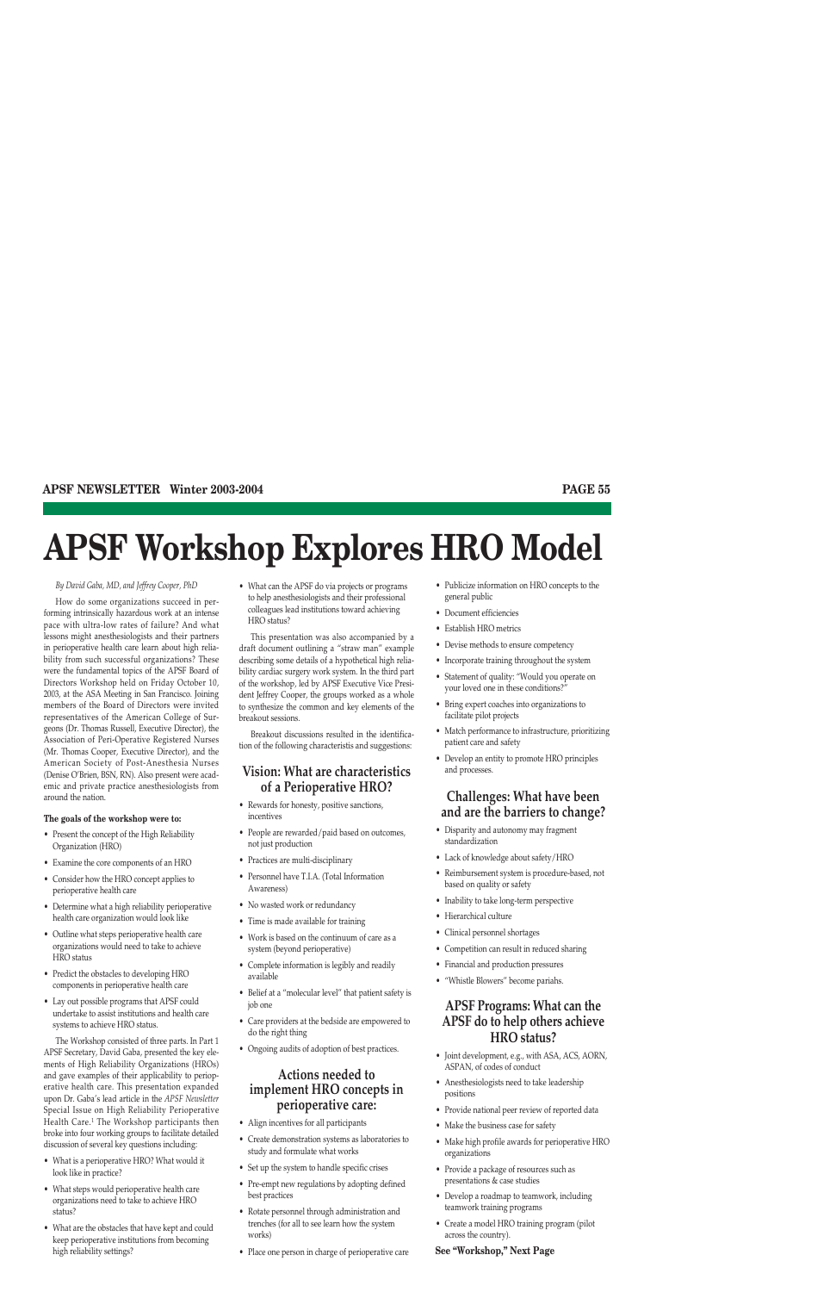# **APSF Workshop Explores HRO Model**

#### *By David Gaba, MD, and Jeffrey Cooper, PhD*

How do some organizations succeed in performing intrinsically hazardous work at an intense pace with ultra-low rates of failure? And what lessons might anesthesiologists and their partners in perioperative health care learn about high reliability from such successful organizations? These were the fundamental topics of the APSF Board of Directors Workshop held on Friday October 10, 2003, at the ASA Meeting in San Francisco. Joining members of the Board of Directors were invited representatives of the American College of Surgeons (Dr. Thomas Russell, Executive Director), the Association of Peri-Operative Registered Nurses (Mr. Thomas Cooper, Executive Director), and the American Society of Post-Anesthesia Nurses (Denise O'Brien, BSN, RN). Also present were academic and private practice anesthesiologists from around the nation.

#### **The goals of the workshop were to:**

- Present the concept of the High Reliability Organization (HRO)
- Examine the core components of an HRO
- Consider how the HRO concept applies to perioperative health care
- Determine what a high reliability perioperative health care organization would look like
- Outline what steps perioperative health care organizations would need to take to achieve HRO status
- Predict the obstacles to developing HRO components in perioperative health care
- Lay out possible programs that APSF could undertake to assist institutions and health care systems to achieve HRO status.

The Workshop consisted of three parts. In Part 1 APSF Secretary, David Gaba, presented the key elements of High Reliability Organizations (HROs) and gave examples of their applicability to perioperative health care. This presentation expanded upon Dr. Gaba's lead article in the *APSF Newsletter* Special Issue on High Reliability Perioperative Health Care.<sup>1</sup> The Workshop participants then broke into four working groups to facilitate detailed discussion of several key questions including:

- What is a perioperative HRO? What would it look like in practice?
- What steps would perioperative health care organizations need to take to achieve HRO status?
- What are the obstacles that have kept and could keep perioperative institutions from becoming high reliability settings?

• What can the APSF do via projects or programs to help anesthesiologists and their professional colleagues lead institutions toward achieving HRO status?

This presentation was also accompanied by a draft document outlining a "straw man" example describing some details of a hypothetical high reliability cardiac surgery work system. In the third part of the workshop, led by APSF Executive Vice President Jeffrey Cooper, the groups worked as a whole to synthesize the common and key elements of the breakout sessions.

Breakout discussions resulted in the identification of the following characteristis and suggestions:

## **Vision: What are characteristics of a Perioperative HRO?**

- Rewards for honesty, positive sanctions, incentives
- People are rewarded/paid based on outcomes, not just production
- Practices are multi-disciplinary
- Personnel have T.I.A. (Total Information Awareness)
- No wasted work or redundancy
- Time is made available for training
- Work is based on the continuum of care as a system (beyond perioperative)
- Complete information is legibly and readily available
- Belief at a "molecular level" that patient safety is job one
- Care providers at the bedside are empowered to do the right thing
- Ongoing audits of adoption of best practices.

## **Actions needed to implement HRO concepts in perioperative care:**

- Align incentives for all participants
- Create demonstration systems as laboratories to study and formulate what works
- Set up the system to handle specific crises
- Pre-empt new regulations by adopting defined best practices
- Rotate personnel through administration and trenches (for all to see learn how the system works)
- Place one person in charge of perioperative care
- Publicize information on HRO concepts to the general public
- Document efficiencies
- Establish HRO metrics
- Devise methods to ensure competency
- Incorporate training throughout the system
- Statement of quality: "Would you operate on your loved one in these conditions?"
- Bring expert coaches into organizations to facilitate pilot projects
- Match performance to infrastructure, prioritizing patient care and safety
- Develop an entity to promote HRO principles and processes.

## **Challenges: What have been and are the barriers to change?**

- Disparity and autonomy may fragment standardization
- Lack of knowledge about safety/HRO
- Reimbursement system is procedure-based, not based on quality or safety
- Inability to take long-term perspective
- Hierarchical culture
- Clinical personnel shortages
- Competition can result in reduced sharing
- Financial and production pressures
- "Whistle Blowers" become pariahs.

## **APSF Programs: What can the APSF do to help others achieve HRO status?**

- Joint development, e.g., with ASA, ACS, AORN, ASPAN, of codes of conduct
- Anesthesiologists need to take leadership positions
- Provide national peer review of reported data
- Make the business case for safety
- Make high profile awards for perioperative HRO organizations
- Provide a package of resources such as presentations & case studies
- Develop a roadmap to teamwork, including teamwork training programs
- Create a model HRO training program (pilot across the country).

#### **See "Workshop," Next Page**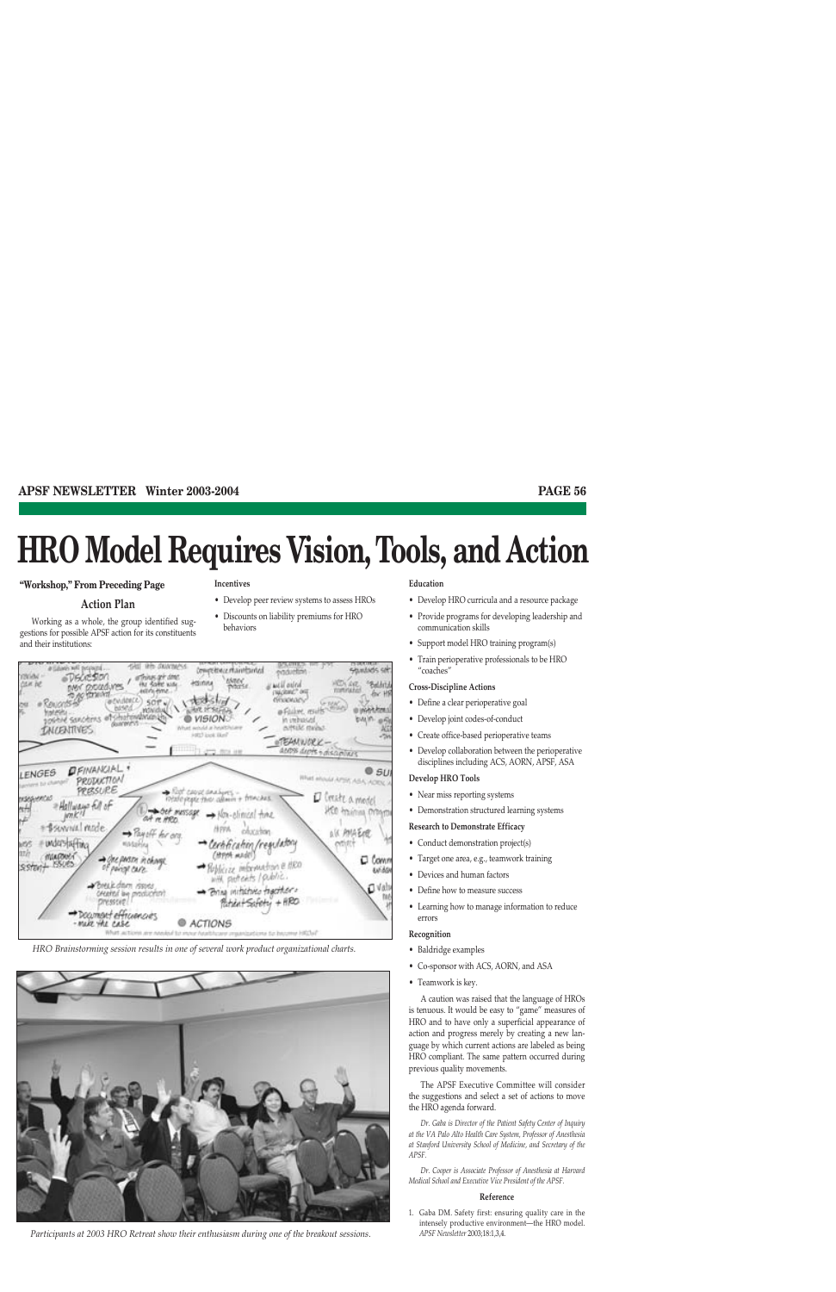# **HRO Model Requires Vision, Tools, and Action**

#### **"Workshop," From Preceding Page**

and their institutions:

**Action Plan** Working as a whole, the group identified suggestions for possible APSF action for its constituents

#### **Incentives**

- Develop peer review systems to assess HROs
- Discounts on liability premiums for HRO behaviors



*HRO Brainstorming session results in one of several work product organizational charts.*



*Participants at 2003 HRO Retreat show their enthusiasm during one of the breakout sessions.*

#### **Education**

- Develop HRO curricula and a resource package
- Provide programs for developing leadership and communication skills
- Support model HRO training program(s)
- Train perioperative professionals to be HRO "coaches"

#### **Cross-Discipline Actions**

- Define a clear perioperative goal
- Develop joint codes-of-conduct
- Create office-based perioperative teams
- Develop collaboration between the perioperative disciplines including ACS, AORN, APSF, ASA

#### **Develop HRO Tools**

- Near miss reporting systems
- Demonstration structured learning systems

#### **Research to Demonstrate Efficacy**

- Conduct demonstration project(s)
- Target one area, e.g., teamwork training
- Devices and human factors
- Define how to measure success
- Learning how to manage information to reduce errors

#### **Recognition**

- Baldridge examples
- Co-sponsor with ACS, AORN, and ASA
- Teamwork is key.

A caution was raised that the language of HROs is tenuous. It would be easy to "game" measures of HRO and to have only a superficial appearance of action and progress merely by creating a new language by which current actions are labeled as being HRO compliant. The same pattern occurred during previous quality movements.

The APSF Executive Committee will consider the suggestions and select a set of actions to move the HRO agenda forward.

*Dr. Gaba is Director of the Patient Safety Center of Inquiry at the VA Palo Alto Health Care System, Professor of Anesthesia at Stanford University School of Medicine, and Secretary of the APSF.*

*Dr. Cooper is Associate Professor of Anesthesia at Harvard Medical School and Executive Vice President of the APSF.*

#### **Reference**

1. Gaba DM. Safety first: ensuring quality care in the intensely productive environment—the HRO model. *APSF Newsletter* 2003;18:1,3,4.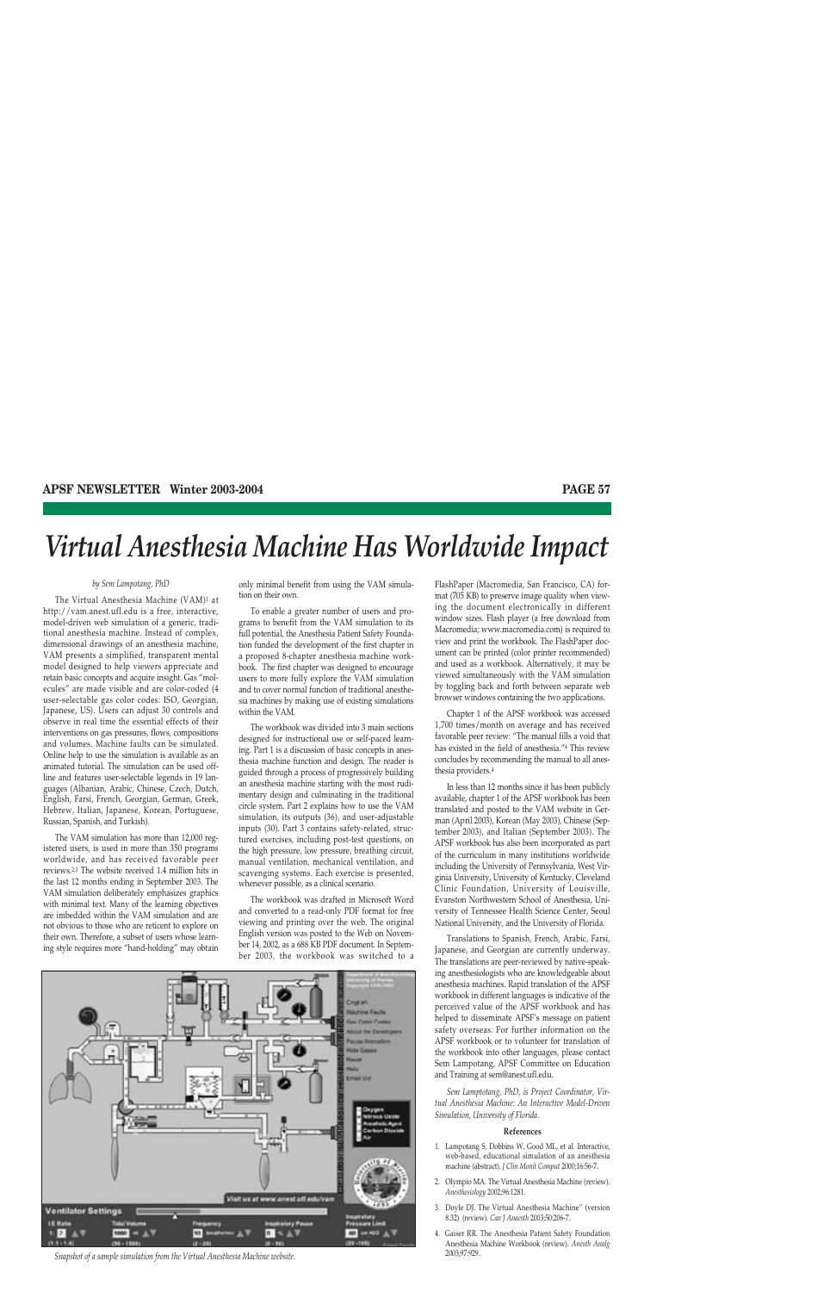# *Virtual Anesthesia Machine Has Worldwide Impact*

#### *by Sem Lampotang, PhD*

The Virtual Anesthesia Machine (VAM)1 at http://vam.anest.ufl.edu is a free, interactive, model-driven web simulation of a generic, traditional anesthesia machine. Instead of complex, dimensional drawings of an anesthesia machine, VAM presents a simplified, transparent mental model designed to help viewers appreciate and retain basic concepts and acquire insight. Gas "molecules" are made visible and are color-coded (4 user-selectable gas color codes: ISO, Georgian, Japanese, US). Users can adjust 30 controls and observe in real time the essential effects of their interventions on gas pressures, flows, compositions and volumes. Machine faults can be simulated. Online help to use the simulation is available as an animated tutorial. The simulation can be used offline and features user-selectable legends in 19 languages (Albanian, Arabic, Chinese, Czech, Dutch, English, Farsi, French, Georgian, German, Greek, Hebrew, Italian, Japanese, Korean, Portuguese, Russian, Spanish, and Turkish).

The VAM simulation has more than 12,000 registered users, is used in more than 350 programs worldwide, and has received favorable peer reviews.2,3 The website received 1.4 million hits in the last 12 months ending in September 2003. The VAM simulation deliberately emphasizes graphics with minimal text. Many of the learning objectives are imbedded within the VAM simulation and are not obvious to those who are reticent to explore on their own. Therefore, a subset of users whose learning style requires more "hand-holding" may obtain only minimal benefit from using the VAM simulation on their own.

To enable a greater number of users and programs to benefit from the VAM simulation to its full potential, the Anesthesia Patient Safety Foundation funded the development of the first chapter in a proposed 8-chapter anesthesia machine workbook. The first chapter was designed to encourage users to more fully explore the VAM simulation and to cover normal function of traditional anesthesia machines by making use of existing simulations within the VAM.

The workbook was divided into 3 main sections designed for instructional use or self-paced learning. Part 1 is a discussion of basic concepts in anesthesia machine function and design. The reader is guided through a process of progressively building an anesthesia machine starting with the most rudimentary design and culminating in the traditional circle system. Part 2 explains how to use the VAM simulation, its outputs (36), and user-adjustable inputs (30). Part 3 contains safety-related, structured exercises, including post-test questions, on the high pressure, low pressure, breathing circuit, manual ventilation, mechanical ventilation, and scavenging systems. Each exercise is presented, whenever possible, as a clinical scenario.

The workbook was drafted in Microsoft Word and converted to a read-only PDF format for free viewing and printing over the web. The original English version was posted to the Web on November 14, 2002, as a 688 KB PDF document. In September 2003, the workbook was switched to a

Visit us at www.anest uff.edu/van **Ventilator Settings**  $\mathfrak{m}$  $\mathfrak{n}$ ΔV

*Snapshot of a sample simulation from the Virtual Anesthesia Machine website.*

FlashPaper (Macromedia, San Francisco, CA) format (705 KB) to preserve image quality when viewing the document electronically in different window sizes. Flash player (a free download from Macromedia; www.macromedia.com) is required to view and print the workbook. The FlashPaper document can be printed (color printer recommended) and used as a workbook. Alternatively, it may be viewed simultaneously with the VAM simulation by toggling back and forth between separate web browser windows containing the two applications.

Chapter 1 of the APSF workbook was accessed 1,700 times/month on average and has received favorable peer review: "The manual fills a void that has existed in the field of anesthesia."4 This review concludes by recommending the manual to all anesthesia providers.4

In less than 12 months since it has been publicly available, chapter 1 of the APSF workbook has been translated and posted to the VAM website in German (April 2003), Korean (May 2003), Chinese (September 2003), and Italian (September 2003). The APSF workbook has also been incorporated as part of the curriculum in many institutions worldwide including the University of Pennsylvania, West Virginia University, University of Kentucky, Cleveland Clinic Foundation, University of Louisville, Evanston Northwestern School of Anesthesia, University of Tennessee Health Science Center, Seoul National University, and the University of Florida.

Translations to Spanish, French, Arabic, Farsi, Japanese, and Georgian are currently underway. The translations are peer-reviewed by native-speaking anesthesiologists who are knowledgeable about anesthesia machines. Rapid translation of the APSF workbook in different languages is indicative of the perceived value of the APSF workbook and has helped to disseminate APSF's message on patient safety overseas. For further information on the APSF workbook or to volunteer for translation of the workbook into other languages, please contact Sem Lampotang, APSF Committee on Education and Training at sem@anest.ufl.edu.

*Sem Lamptotang, PhD, is Project Coordinator, Virtual Anesthesia Machine: An Interactive Model-Driven Simulation, University of Florida.*

#### **References**

- 1. Lampotang S, Dobbins W, Good ML, et al. Interactive, web-based, educational simulation of an anesthesia machine (abstract). *J Clin Monit Comput* 2000;16:56-7.
- 2. Olympio MA. The Virtual Anesthesia Machine (review). *Anesthesiology* 2002;96:1281.
- 3. Doyle DJ. The Virtual Anesthesia Machine" (version 8.32) (review). *Can J Anaesth* 2003;50:206-7.
- 4. Gaiser RR. The Anesthesia Patient Safety Foundation Anesthesia Machine Workbook (review). *Anesth Analg* 2003;97:929.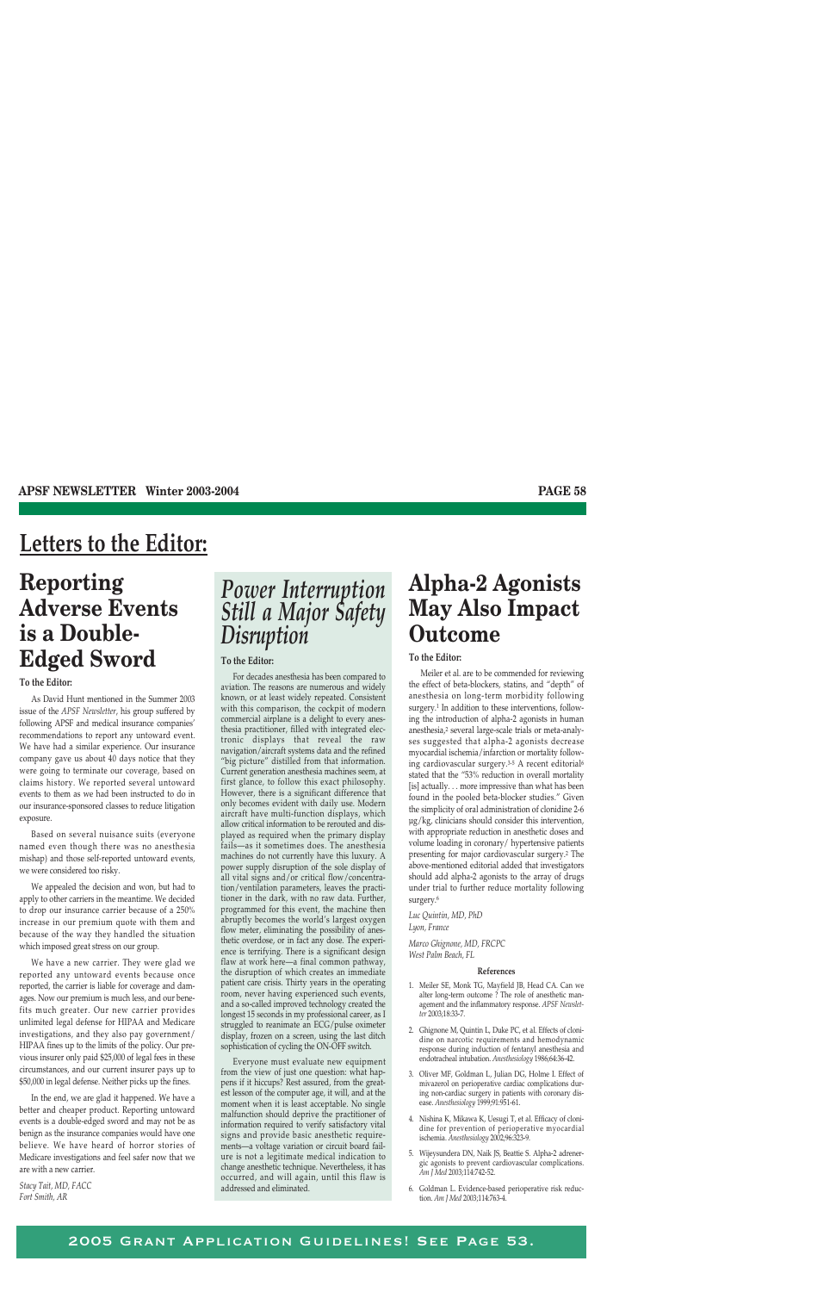## **Letters to the Editor:**

# **Reporting Adverse Events is a Double-Edged Sword**

#### **To the Editor:**

As David Hunt mentioned in the Summer 2003 issue of the *APSF Newsletter*, his group suffered by following APSF and medical insurance companies' recommendations to report any untoward event. We have had a similar experience. Our insurance company gave us about 40 days notice that they were going to terminate our coverage, based on claims history. We reported several untoward events to them as we had been instructed to do in our insurance-sponsored classes to reduce litigation exposure.

Based on several nuisance suits (everyone named even though there was no anesthesia mishap) and those self-reported untoward events, we were considered too risky.

We appealed the decision and won, but had to apply to other carriers in the meantime. We decided to drop our insurance carrier because of a 250% increase in our premium quote with them and because of the way they handled the situation which imposed great stress on our group.

We have a new carrier. They were glad we reported any untoward events because once reported, the carrier is liable for coverage and damages. Now our premium is much less, and our benefits much greater. Our new carrier provides unlimited legal defense for HIPAA and Medicare investigations, and they also pay government/ HIPAA fines up to the limits of the policy. Our previous insurer only paid \$25,000 of legal fees in these circumstances, and our current insurer pays up to \$50,000 in legal defense. Neither picks up the fines.

In the end, we are glad it happened. We have a better and cheaper product. Reporting untoward events is a double-edged sword and may not be as benign as the insurance companies would have one believe. We have heard of horror stories of Medicare investigations and feel safer now that we are with a new carrier.

*Stacy Tait, MD, FACC Fort Smith, AR*

## *Power Interruption Still a Major Safety Disruption*

#### **To the Editor:**

For decades anesthesia has been compared to aviation. The reasons are numerous and widely known, or at least widely repeated. Consistent with this comparison, the cockpit of modern commercial airplane is a delight to every anesthesia practitioner, filled with integrated electronic displays that reveal the raw navigation/aircraft systems data and the refined "big picture" distilled from that information. Current generation anesthesia machines seem, at first glance, to follow this exact philosophy. However, there is a significant difference that only becomes evident with daily use. Modern aircraft have multi-function displays, which allow critical information to be rerouted and displayed as required when the primary display fails—as it sometimes does. The anesthesia machines do not currently have this luxury. A power supply disruption of the sole display of all vital signs and/or critical flow/concentration/ventilation parameters, leaves the practitioner in the dark, with no raw data. Further, programmed for this event, the machine then abruptly becomes the world's largest oxygen flow meter, eliminating the possibility of anesthetic overdose, or in fact any dose. The experience is terrifying. There is a significant design flaw at work here—a final common pathway, the disruption of which creates an immediate patient care crisis. Thirty years in the operating room, never having experienced such events, and a so-called improved technology created the longest 15 seconds in my professional career, as I struggled to reanimate an ECG/pulse oximeter display, frozen on a screen, using the last ditch sophistication of cycling the ON-OFF switch.

Everyone must evaluate new equipment from the view of just one question: what happens if it hiccups? Rest assured, from the greatest lesson of the computer age, it will, and at the moment when it is least acceptable. No single malfunction should deprive the practitioner of information required to verify satisfactory vital signs and provide basic anesthetic requirements—a voltage variation or circuit board failure is not a legitimate medical indication to change anesthetic technique. Nevertheless, it has occurred, and will again, until this flaw is addressed and eliminated.

## **Alpha-2 Agonists May Also Impact Outcome**

#### **To the Editor:**

Meiler et al. are to be commended for reviewing the effect of beta-blockers, statins, and "depth" of anesthesia on long-term morbidity following surgery.<sup>1</sup> In addition to these interventions, following the introduction of alpha-2 agonists in human anesthesia,2 several large-scale trials or meta-analyses suggested that alpha-2 agonists decrease myocardial ischemia/infarction or mortality following cardiovascular surgery.<sup>3-5</sup> A recent editorial<sup>6</sup> stated that the "53% reduction in overall mortality [is] actually. . . more impressive than what has been found in the pooled beta-blocker studies." Given the simplicity of oral administration of clonidine 2-6 µg/kg, clinicians should consider this intervention, with appropriate reduction in anesthetic doses and volume loading in coronary/ hypertensive patients presenting for major cardiovascular surgery.2 The above-mentioned editorial added that investigators should add alpha-2 agonists to the array of drugs under trial to further reduce mortality following surgery.6

*Luc Quintin, MD, PhD Lyon, France*

*Marco Ghignone, MD, FRCPC West Palm Beach, FL*

#### **References**

- 1. Meiler SE, Monk TG, Mayfield JB, Head CA. Can we alter long-term outcome ? The role of anesthetic management and the inflammatory response. *APSF Newsletter* 2003;18:33-7.
- 2. Ghignone M, Quintin L, Duke PC, et al. Effects of clonidine on narcotic requirements and hemodynamic response during induction of fentanyl anesthesia and endotracheal intubation. *Anesthesiology* 1986;64:36-42.
- 3. Oliver MF, Goldman L, Julian DG, Holme I. Effect of mivazerol on perioperative cardiac complications during non-cardiac surgery in patients with coronary disease. *Anesthesiology* 1999;91:951-61.
- 4. Nishina K, Mikawa K, Uesugi T, et al. Efficacy of clonidine for prevention of perioperative myocardial ischemia. *Anesthesiology* 2002;96:323-9.
- 5. Wijeysundera DN, Naik JS, Beattie S. Alpha-2 adrenergic agonists to prevent cardiovascular complications. *Am J Med* 2003;114:742-52.
- 6. Goldman L. Evidence-based perioperative risk reduction. *Am J Med* 2003;114:763-4.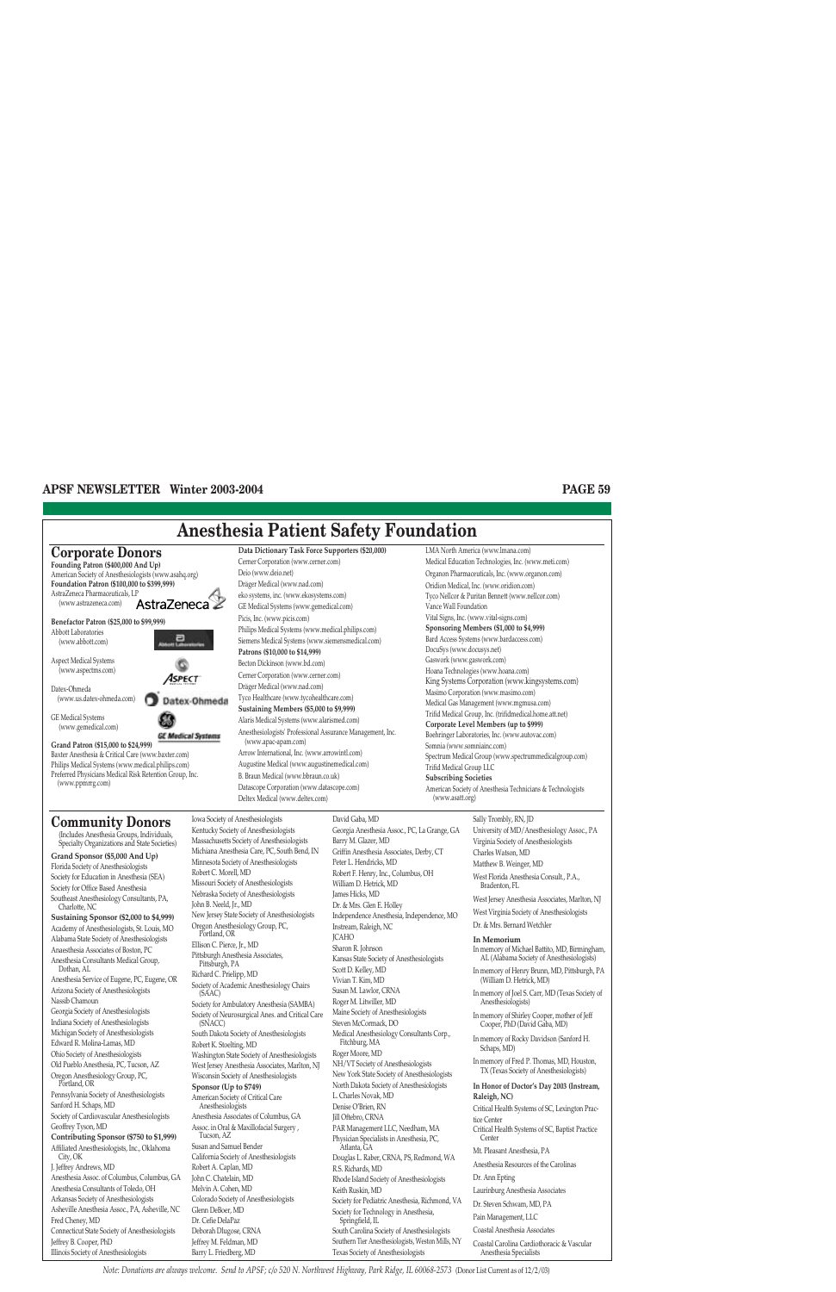## **Anesthesia Patient Safety Foundation**



## **Community Donors**

(www.ppmrrg.com)

(Includes Anesthesia Groups, Individuals, Specialty Organizations and State Societies)

**Grand Sponsor (\$5,000 And Up)** Florida Society of Anesthesiologists Society for Education in Anesthesia (SEA) Society for Office Based Anesthesia Southeast Anesthesiology Consultants, PA, Charlotte, NC **Sustaining Sponsor (\$2,000 to \$4,999)** Academy of Anesthesiologists, St. Louis, MO Alabama State Society of Anesthesiologists Anaesthesia Associates of Boston, PC Anesthesia Consultants Medical Group, Dothan, AL Anesthesia Service of Eugene, PC, Eugene, OR Arizona Society of Anesthesiologists Nassib Chamoun Georgia Society of Anesthesiologists Indiana Society of Anesthesiologists Michigan Society of Anesthesiologists Edward R. Molina-Lamas, MD Ohio Society of Anesthesiologists Old Pueblo Anesthesia, PC, Tucson, AZ Oregon Anesthesiology Group, PC, Portland, OR Pennsylvania Society of Anesthesiologists Sanford H. Schaps, MD Society of Cardiovascular Anesthesiologists Geoffrey Tyson, MD **Contributing Sponsor (\$750 to \$1,999)** Affiliated Anesthesiologists, Inc., Oklahoma City, OK J. Jeffrey Andrews, MD Anesthesia Assoc. of Columbus, Columbus, GA Anesthesia Consultants of Toledo, OH Arkansas Society of Anesthesiologists Asheville Anesthesia Assoc., PA, Asheville, NC Fred Cheney, MD Connecticut State Society of Anesthesiologists Jeffrey B. Cooper, PhD

Illinois Society of Anesthesiologists

**Data Dictionary Task Force Supporters (\$20,000)** Cerner Corporation (www.cerner.com) Deio (www.deio.net) Dräger Medical (www.nad.com) eko systems, inc. (www.ekosystems.com) GE Medical Systems (www.gemedical.com) Picis, Inc. (www.picis.com) Philips Medical Systems (www.medical.philips.com) Siemens Medical Systems (www.siemensmedical.com) **Patrons (\$10,000 to \$14,999)** Becton Dickinson (www.bd.com) Cerner Corporation (www.cerner.com) Dräger Medical (www.nad.com) Tyco Healthcare (www.tycohealthcare.com) **Sustaining Members (\$5,000 to \$9,999)** Alaris Medical Systems (www.alarismed.com) Anesthesiologists' Professional Assurance Management, Inc. (www.apac-apam.com) Arrow International, Inc. (www.arrowintl.com) Augustine Medical (www.augustinemedical.com) B. Braun Medical (www.bbraun.co.uk) Datascope Corporation (www.datascope.com) Deltex Medical (www.deltex.com)

LMA North America (www.lmana.com) Medical Education Technologies, Inc. (www.meti.com) Organon Pharmaceuticals, Inc. (www.organon.com) Oridion Medical, Inc. (www.oridion.com) Tyco Nellcor & Puritan Bennett (www.nellcor.com) Vance Wall Foundation Vital Signs, Inc. (www.vital-signs.com) **Sponsoring Members (\$1,000 to \$4,999)** Bard Access Systems (www.bardaccess.com) DocuSys (www.docusys.net) Gaswork (www.gaswork.com) Hoana Technologies (www.hoana.com) King Systems Corporation (www.kingsystems.com) Masimo Corporation (www.masimo.com) Medical Gas Management (www.mgmusa.com) Trifid Medical Group, Inc. (trifidmedical.home.att.net) **Corporate Level Members (up to \$999)** Boehringer Laboratories, Inc. (www.autovac.com) Somnia (www.somniainc.com) Spectrum Medical Group (www.spectrummedicalgroup.com) Trifid Medical Group LLC **Subscribing Societies** American Society of Anesthesia Technicians & Technologists (www.asatt.org)

Iowa Society of Anesthesiologists Kentucky Society of Anesthesiologists Massachusetts Society of Anesthesiologists Michiana Anesthesia Care, PC, South Bend, IN Minnesota Society of Anesthesiologists Robert C. Morell, MD Missouri Society of Anesthesiologists Nebraska Society of Anesthesiologists John B. Neeld, Jr., MD New Jersey State Society of Anesthesiologists Oregon Anesthesiology Group, PC, Portland, OR Ellison C. Pierce, Jr., MD Pittsburgh Anesthesia Associates, Pittsburgh, PA Richard C. Prielipp, MD Society of Academic Anesthesiology Chairs (SAAC) Society for Ambulatory Anesthesia (SAMBA) Society of Neurosurgical Anes. and Critical Care (SNACC) South Dakota Society of Anesthesiologists Robert K. Stoelting, MD Washington State Society of Anesthesiologists West Jersey Anesthesia Associates, Marlton, NJ Wisconsin Society of Anesthesiologists **Sponsor (Up to \$749)** American Society of Critical Care Anesthesiologists Anesthesia Associates of Columbus, GA Assoc. in Oral & Maxillofacial Surgery , Tucson, AZ Susan and Samuel Bender California Society of Anesthesiologists Robert A. Caplan, MD John C. Chatelain, MD Melvin A. Cohen, MD Colorado Society of Anesthesiologists Glenn DeBoer, MD Dr. Cefie DelaPaz Deborah Dlugose, CRNA Jeffrey M. Feldman, MD

Barry L. Friedberg, MD

David Gaba, MD Georgia Anesthesia Assoc., PC, La Grange, GA Barry M. Glazer, MD Griffin Anesthesia Associates, Derby, CT Peter L. Hendricks, MD Robert F. Henry, Inc., Columbus, OH William D. Hetrick, MD James Hicks, MD Dr. & Mrs. Glen E. Holley Independence Anesthesia, Independence, MO Instream, Raleigh, NC JCAHO Sharon R. Johnson Kansas State Society of Anesthesiologists Scott D. Kelley, MD Vivian T. Kim, MD Susan M. Lawlor, CRNA Roger M. Litwiller, MD Maine Society of Anesthesiologists Steven McCormack, DO Medical Anesthesiology Consultants Corp., Fitchburg, MA Roger Moore, MD NH/VT Society of Anesthesiologists New York State Society of Anesthesiologists North Dakota Society of Anesthesiologists L. Charles Novak, MD Denise O'Brien, RN Jill Oftebro, CRNA PAR Management LLC, Needham, MA Physician Specialists in Anesthesia, PC, Atlanta, GA Douglas L. Raber, CRNA, PS, Redmond, WA R.S. Richards, MD Rhode Island Society of Anesthesiologists Keith Ruskin, MD Society for Pediatric Anesthesia, Richmond, VA Society for Technology in Anesthesia, Springfield, IL South Carolina Society of Anesthesiologists Southern Tier Anesthesiologists, Weston Mills, NY Texas Society of Anesthesiologists

Sally Trombly, RN, JD University of MD/Anesthesiology Assoc., PA Virginia Society of Anesthesiologists Charles Watson, MD Matthew B. Weinger, MD West Florida Anesthesia Consult., P.A., Bradenton, FL West Jersey Anesthesia Associates, Marlton, NJ West Virginia Society of Anesthesiologists Dr. & Mrs. Bernard Wetchler **In Memorium** In memory of Michael Battito, MD, Birmingham, AL (Alabama Society of Anesthesiologists) In memory of Henry Brunn, MD, Pittsburgh, PA (William D. Hetrick, MD) In memory of Joel S. Carr, MD (Texas Society of Anesthesiologists)

In memory of Shirley Cooper, mother of Jeff Cooper, PhD (David Gaba, MD)

In memory of Rocky Davidson (Sanford H. Schaps, MD)

In memory of Fred P. Thomas, MD, Houston, TX (Texas Society of Anesthesiologists)

#### **In Honor of Doctor's Day 2003 (Instream, Raleigh, NC)**

Critical Health Systems of SC, Lexington Practice Center Critical Health Systems of SC, Baptist Practice **Center** Mt. Pleasant Anesthesia, PA Anesthesia Resources of the Carolinas Dr. Ann Epting Laurinburg Anesthesia Associates Dr. Steven Schwam, MD, PA Pain Management, LLC Coastal Anesthesia Associates

Coastal Carolina Cardiothoracic & Vascular

Anesthesia Specialists

*Note: Donations are always welcome. Send to APSF; c/o 520 N. Northwest Highway, Park Ridge, IL 60068-2573* (Donor List Current as of 12/2/03)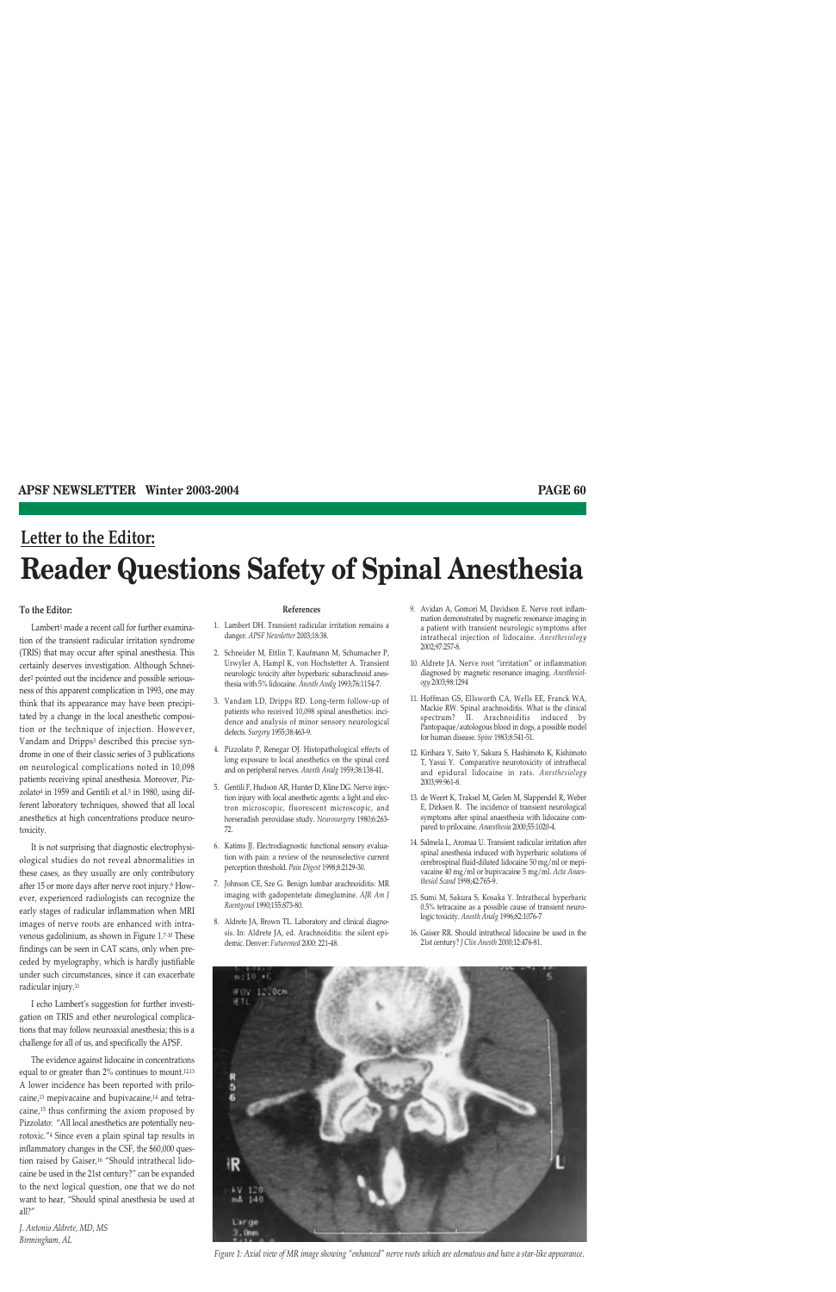# **Letter to the Editor: Reader Questions Safety of Spinal Anesthesia**

#### **To the Editor:**

Lambert<sup>1</sup> made a recent call for further examination of the transient radicular irritation syndrome (TRIS) that may occur after spinal anesthesia. This certainly deserves investigation. Although Schneider2 pointed out the incidence and possible seriousness of this apparent complication in 1993, one may think that its appearance may have been precipitated by a change in the local anesthetic composition or the technique of injection. However, Vandam and Dripps3 described this precise syndrome in one of their classic series of 3 publications on neurological complications noted in 10,098 patients receiving spinal anesthesia. Moreover, Pizzolato<sup>4</sup> in 1959 and Gentili et al.<sup>5</sup> in 1980, using different laboratory techniques, showed that all local anesthetics at high concentrations produce neurotoxicity.

It is not surprising that diagnostic electrophysiological studies do not reveal abnormalities in these cases, as they usually are only contributory after 15 or more days after nerve root injury.<sup>6</sup> However, experienced radiologists can recognize the early stages of radicular inflammation when MRI images of nerve roots are enhanced with intravenous gadolinium, as shown in Figure 1.7-10 These findings can be seen in CAT scans, only when preceded by myelography, which is hardly justifiable under such circumstances, since it can exacerbate radicular injury.11

I echo Lambert's suggestion for further investigation on TRIS and other neurological complications that may follow neuroaxial anesthesia; this is a challenge for all of us, and specifically the APSF.

The evidence against lidocaine in concentrations equal to or greater than 2% continues to mount.12,13 A lower incidence has been reported with prilocaine,13 mepivacaine and bupivacaine,14 and tetracaine,15 thus confirming the axiom proposed by Pizzolato: "All local anesthetics are potentially neurotoxic."4 Since even a plain spinal tap results in inflammatory changes in the CSF, the \$60,000 question raised by Gaiser,<sup>16</sup> "Should intrathecal lidocaine be used in the 21st century?" can be expanded to the next logical question, one that we do not want to hear, "Should spinal anesthesia be used at all?"

*J. Antonio Aldrete, MD, MS Birmingham, AL*

#### **References**

- 1. Lambert DH. Transient radicular irritation remains a danger. *APSF Newsletter* 2003;18:38.
- 2. Schneider M, Ettlin T, Kaufmann M, Schumacher P, Urwyler A, Hampl K, von Hochstetter A. Transient neurologic toxicity after hyperbaric subarachnoid anesthesia with 5% lidocaine. *Anesth Analg* 1993;76:1154-7.
- 3. Vandam LD, Dripps RD. Long-term follow-up of patients who received 10,098 spinal anesthetics: incidence and analysis of minor sensory neurological defects. *Surgery* 1955;38:463-9.
- 4. Pizzolato P, Renegar OJ. Histopathological effects of long exposure to local anesthetics on the spinal cord and on peripheral nerves. *Anesth Analg* 1959;38:138-41.
- 5. Gentili F, Hudson AR, Hunter D, Kline DG. Nerve injection injury with local anesthetic agents: a light and electron microscopic, fluorescent microscopic, and horseradish peroxidase study. *Neurosurgery* 1980;6:263- 72.
- 6. Katims JJ. Electrodiagnostic functional sensory evaluation with pain: a review of the neuroselective current perception threshold. *Pain Digest* 1998;8:2129-30.
- 7. Johnson CE, Sze G. Benign lumbar arachnoiditis: MR imaging with gadopentetate dimeglumine. *AJR Am J Roentgenol* 1990;155:873-80.
- 8. Aldrete JA, Brown TL. Laboratory and clinical diagnosis. In: Aldrete JA, ed. Arachnoiditis: the silent epidemic. Denver: *Futuremed* 2000: 221-48.

 $m:10$   $+0$ #0V 12.0cm

5

- 9. Avidan A, Gomori M, Davidson E. Nerve root inflammation demonstrated by magnetic resonance imaging in a patient with transient neurologic symptoms after intrathecal injection of lidocaine. *Anesthesiology* 2002;97:257-8.
- 10. Aldrete JA. Nerve root "irritation" or inflammation diagnosed by magnetic resonance imaging. *Anesthesiology* 2003;98:1294
- 11. Hoffman GS, Ellsworth CA, Wells EE, Franck WA, Mackie RW. Spinal arachnoiditis. What is the clinical spectrum? II. Arachnoiditis induced by Pantopaque/autologous blood in dogs, a possible model for human disease. *Spine* 1983;8:541-51.
- 12. Kirihara Y, Saito Y, Sakura S, Hashimoto K, Kishimoto T, Yasui Y. Comparative neurotoxicity of intrathecal and epidural lidocaine in rats. *Anesthesiology* 2003;99:961-8.
- 13. de Weert K, Traksel M, Gielen M, Slappendel R, Weber E, Dirksen R. The incidence of transient neurological symptoms after spinal anaesthesia with lidocaine compared to prilocaine. *Anaesthesia* 2000;55:1020-4.
- 14. Salmela L, Aromaa U. Transient radicular irritation after spinal anesthesia induced with hyperbaric solutions of cerebrospinal fluid-diluted lidocaine 50 mg/ml or mepivacaine 40 mg/ml or bupivacaine 5 mg/ml. *Acta Anaesthesiol Scand* 1998;42:765-9.
- 15. Sumi M, Sakura S, Kosaka Y. Intrathecal hyperbaric 0.5% tetracaine as a possible cause of transient neurologic toxicity. *Anesth Analg* 1996;82:1076-7
- 16. Gaiser RR. Should intrathecal lidocaine be used in the 21st century? *J Clin Anesth* 2000;12:476-81.



*Figure 1: Axial view of MR image showing "enhanced" nerve roots which are edematous and have a star-like appearance.*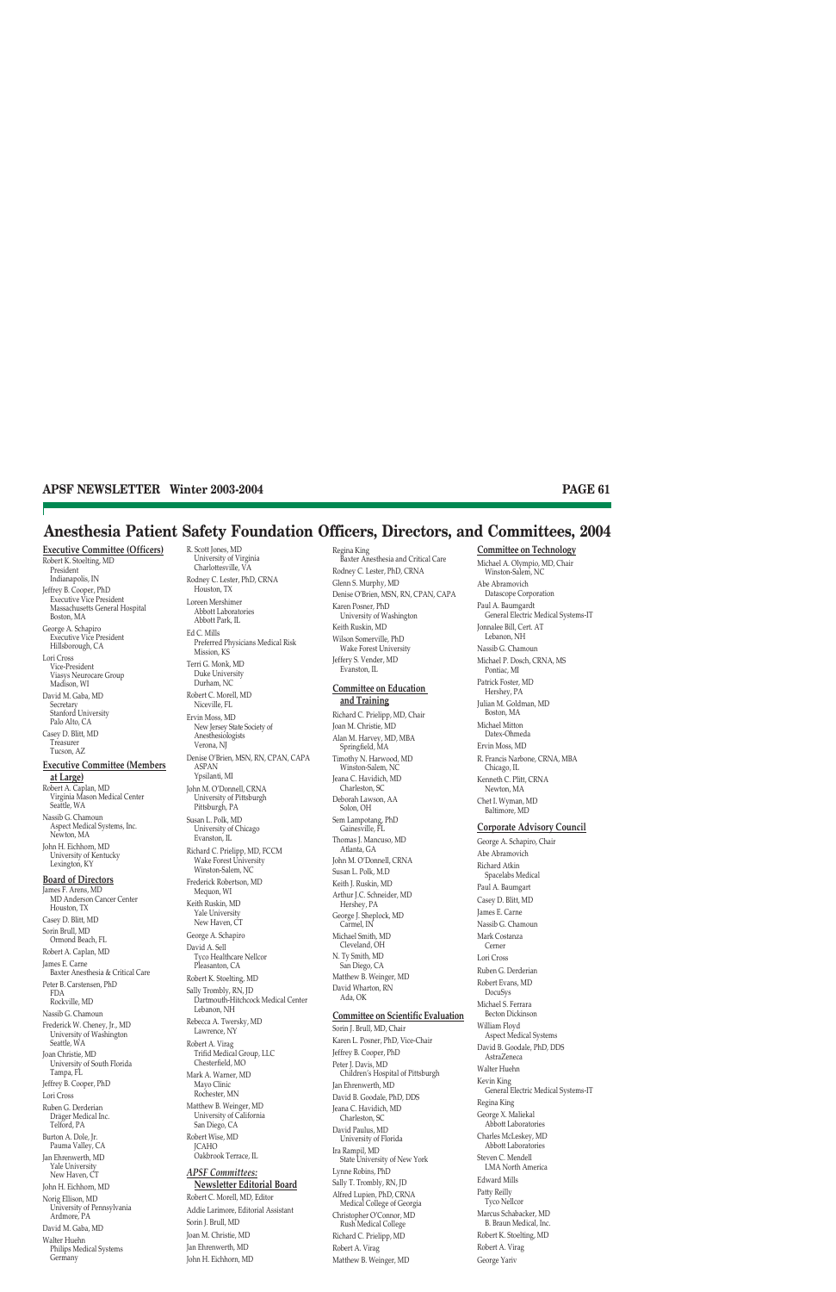## **Anesthesia Patient Safety Foundation Officers, Directors, and Committees, 2004**

**Executive Committee (Officers)** Robert K. Stoelting, MD President Indianapolis, IN Jeffrey B. Cooper, PhD Executive Vice President Massachusetts General Hospital Boston, MA George A. Schapiro Executive Vice President Hillsborough, CA Lori Cross Vice-President Viasys Neurocare Group Madison, WI David M. Gaba, MD Secretary Stanford University Palo Alto, CA Casey D. Blitt, MD Treasurer Tucson, AZ **Executive Committee (Members at Large)** Robert A. Caplan, MD Virginia Mason Medical Center Seattle, WA Nassib G. Chamoun Aspect Medical Systems, Inc. Newton, MA John H. Eichhorn, MD University of Kentucky Lexington, KY **Board of Directors** James F. Arens, MD MD Anderson Cancer Center Houston, TX Casey D. Blitt, MD Sorin Brull, MD Ormond Beach, FL Robert A. Caplan, MD James E. Carne Baxter Anesthesia & Critical Care Peter B. Carstensen, PhD FDA Rockville, MD Nassib G. Chamoun Frederick W. Cheney, Jr., MD University of Washington Seattle, WA Joan Christie, MD University of South Florida Tampa, FL Jeffrey B. Cooper, PhD Lori Cross Ruben G. Derderian Dräger Medical Inc. Telford, PA Burton A. Dole, Jr. Pauma Valley, CA Jan Ehrenwerth, MD Yale University New Haven, CT John H. Eichhorn, MD Norig Ellison, MD University of Pennsylvania Ardmore, PA David M. Gaba, MD Walter Huehn Philips Medical Systems

Germany

R. Scott Jones, MD University of Virginia Charlottesville, VA Rodney C. Lester, PhD, CRNA Houston, TX Loreen Mershimer Abbott Laboratories Abbott Park, IL Ed C. Mills Preferred Physicians Medical Risk Mission, KS Terri G. Monk, MD Duke University Durham, NC Robert C. Morell, MD Niceville, FL Ervin Moss, MD New Jersey State Society of Anesthesiologists Verona, NJ Denise O'Brien, MSN, RN, CPAN, CAPA ASPAN Ypsilanti, MI John M. O'Donnell, CRNA University of Pittsburgh Pittsburgh, PA Susan L. Polk, MD University of Chicago Evanston, IL Richard C. Prielipp, MD, FCCM Wake Forest University Winston-Salem, NC Frederick Robertson, MD Mequon, WI Keith Ruskin, MD Yale University New Haven, CT George A. Schapiro David A. Sell Tyco Healthcare Nellcor Pleasanton, CA Robert K. Stoelting, MD Sally Trombly, RN, JD Dartmouth-Hitchcock Medical Center Lebanon, NH Rebecca A. Twersky, MD Lawrence, NY Robert A. Virag Trifid Medical Group, LLC Chesterfield, MO Mark A. Warner, MD Mayo Clinic Rochester, MN Matthew B. Weinger, MD University of California San Diego, CA Robert Wise, MD JCAHO Oakbrook Terrace, IL *APSF Committees:* **Newsletter Editorial Board** Robert C. Morell, MD, Editor Addie Larimore, Editorial Assistant Sorin J. Brull, MD Joan M. Christie, MD

Jan Ehrenwerth, MD John H. Eichhorn, MD

Regina King Baxter Anesthesia and Critical Care Rodney C. Lester, PhD, CRNA Glenn S. Murphy, MD Denise O'Brien, MSN, RN, CPAN, CAPA Karen Posner, PhD University of Washington Keith Ruskin, MD Wilson Somerville, PhD Wake Forest University Jeffery S. Vender, MD Evanston, IL

#### **Committee on Education and Training**

Richard C. Prielipp, MD, Chair Joan M. Christie, MD Alan M. Harvey, MD, MBA Springfield, MA Timothy N. Harwood, MD Winston-Salem, NC Jeana C. Havidich, MD Charleston, SC Deborah Lawson, AA Solon, OH Sem Lampotang, PhD Gainesville, FL Thomas J. Mancuso, MD Atlanta, GA John M. O'Donnell, CRNA Susan L. Polk, M.D Keith J. Ruskin, MD Arthur J.C. Schneider, MD Hershey, PA George J. Sheplock, MD Carmel, IN Michael Smith, MD Cleveland, OH N. Ty Smith, MD San Diego, CA Matthew B. Weinger, MD David Wharton, RN Ada, OK

#### **Committee on Scientific Evaluation**

Sorin J. Brull, MD, Chair Karen L. Posner, PhD, Vice-Chair Jeffrey B. Cooper, PhD Peter J. Davis, MD Children's Hospital of Pittsburgh Jan Ehrenwerth, MD David B. Goodale, PhD, DDS Jeana C. Havidich, MD Charleston, SC David Paulus, MD University of Florida Ira Rampil, MD State University of New York Lynne Robins, PhD Sally T. Trombly, RN, JD Alfred Lupien, PhD, CRNA Medical College of Georgia Christopher O'Connor, MD Rush Medical College Richard C. Prielipp, MD Robert A. Virag Matthew B. Weinger, MD

#### **Committee on Technology** Michael A. Olympio, MD, Chair

Winston-Salem, NC Abe Abramovich Datascope Corporation Paul A. Baumgardt General Electric Medical Systems-IT Jonnalee Bill, Cert. AT Lebanon, NH Nassib G. Chamoun Michael P. Dosch, CRNA, MS Pontiac, MI Patrick Foster, MD Hershey, PA Julian M. Goldman, MD Boston, MA Michael Mitton Datex-Ohmeda Ervin Moss, MD R. Francis Narbone, CRNA, MBA Chicago, IL Kenneth C. Plitt, CRNA Newton, MA Chet I. Wyman, MD Baltimore, MD **Corporate Advisory Council** George A. Schapiro, Chair Abe Abramovich Richard Atkin Spacelabs Medical Paul A. Baumgart Casey D. Blitt, MD James E. Carne Nassib G. Chamoun Mark Costanza Cerner Lori Cross Ruben G. Derderian Robert Evans, MD DocuSys Michael S. Ferrara Becton Dickinson William Floyd Aspect Medical Systems David B. Goodale, PhD, DDS AstraZeneca Walter Huehn Kevin King General Electric Medical Systems-IT Regina King George X. Maliekal Abbott Laboratories Charles McLeskey, MD Abbott Laboratories Steven C. Mendell LMA North America Edward Mills Patty Reilly Tyco Nellcor Marcus Schabacker, MD B. Braun Medical, Inc. Robert K. Stoelting, MD Robert A. Virag George Yariv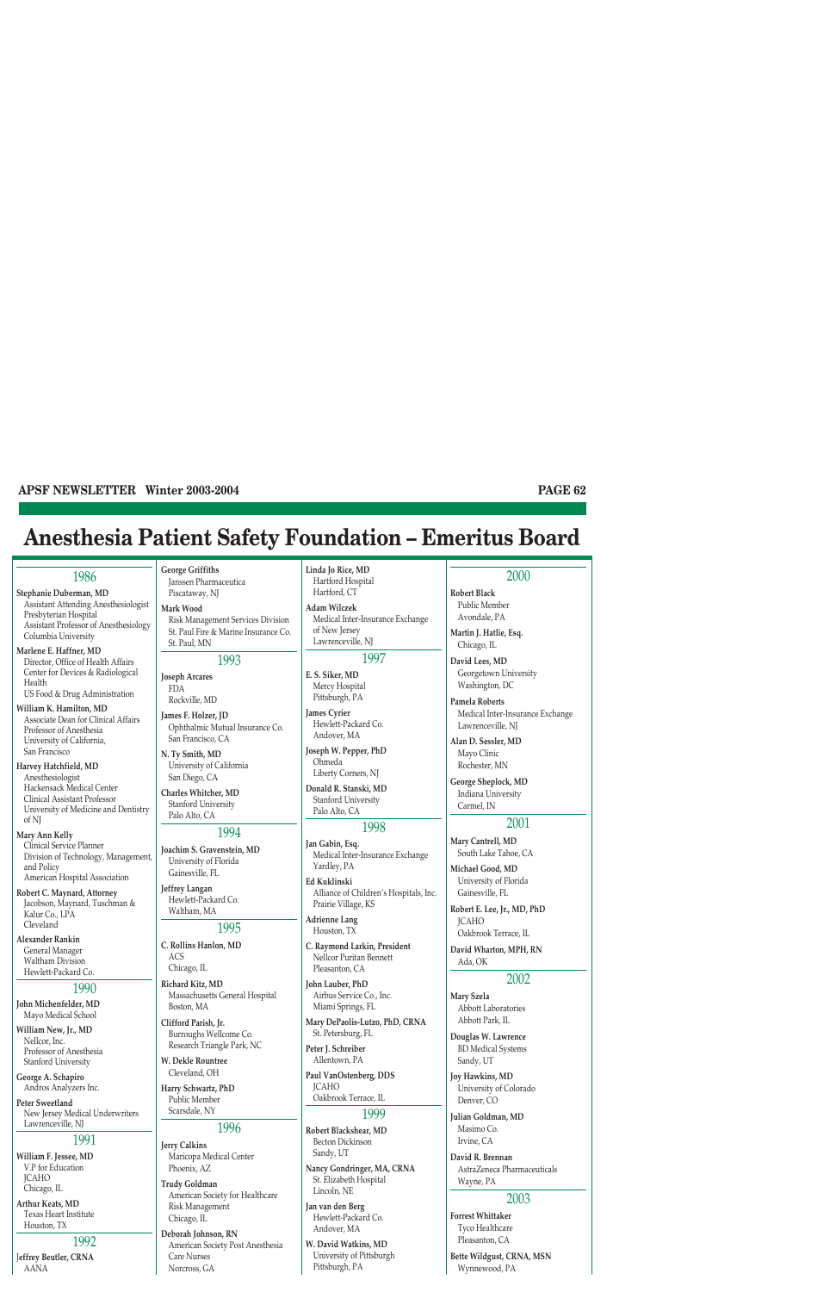## **Anesthesia Patient Safety Foundation – Emeritus Board**

## 1986

**Stephanie Duberman, MD** Assistant Attending Anesthesiologist Presbyterian Hospital Assistant Professor of Anesthesiology Columbia University

**Marlene E. Haffner, MD** Director, Office of Health Affairs Center for Devices & Radiological Health US Food & Drug Administration

**William K. Hamilton, MD** Associate Dean for Clinical Affairs Professor of Anesthesia University of California, San Francisco

**Harvey Hatchfield, MD** Anesthesiologist Hackensack Medical Center Clinical Assistant Professor University of Medicine and Dentistry of NJ

**Mary Ann Kelly** Clinical Service Planner Division of Technology, Management, and Policy American Hospital Association

**Robert C. Maynard, Attorney** Jacobson, Maynard, Tuschman & Kalur Co., LPA Cleveland

**Alexander Rankin** General Manager Waltham Division Hewlett-Packard Co.

#### 1990

**John Michenfelder, MD** Mayo Medical School

**William New, Jr., MD** Nellcor, Inc. Professor of Anesthesia Stanford University

**George A. Schapiro** Andros Analyzers Inc.

**Peter Sweetland** New Jersey Medical Underwriters Lawrenceville, NJ

#### 1991

**William F. Jessee, MD** V.P for Education **ICAHO** Chicago, IL

**Arthur Keats, MD** Texas Heart Institute Houston, TX

## 1992

J**effrey Beutler, CRNA** AANA

**George Griffiths** Janssen Pharmaceutica Piscataway, NJ

**Mark Wood**

Risk Management Services Division St. Paul Fire & Marine Insurance Co. St. Paul, MN

#### 1993

**Joseph Arcares** FDA Rockville, MD

**James F. Holzer, JD** Ophthalmic Mutual Insurance Co. San Francisco, CA

**N. Ty Smith, MD** University of California San Diego, CA

**Charles Whitcher, MD** Stanford University Palo Alto, CA

### 1994

**Joachim S. Gravenstein, MD** University of Florida Gainesville, FL

**Jeffrey Langan** Hewlett-Packard Co. Waltham, MA

## 1995

**C. Rollins Hanlon, MD** ACS Chicago, IL

**Richard Kitz, MD** Massachusetts General Hospital Boston, MA

**Clifford Parish, Jr.**  Burroughs Wellcome Co. Research Triangle Park, NC

**W. Dekle Rountree** Cleveland, OH

**Harry Schwartz, PhD** Public Member Scarsdale, NY

### 1996 **Jerry Calkins**

Maricopa Medical Center Phoenix, AZ

**Trudy Goldman** American Society for Healthcare Risk Management Chicago, IL

**Deborah Johnson, RN** American Society Post Anesthesia Care Nurses Norcross, GA

**Linda Jo Rice, MD** Hartford Hospital Hartford, CT

**Adam Wilczek** Medical Inter-Insurance Exchange of New Jersey Lawrenceville, NJ

### 1997

**E. S. Siker, MD** Mercy Hospital Pittsburgh, PA

**James Cyrier** Hewlett-Packard Co. Andover, MA

**Joseph W. Pepper, PhD** Ohmeda Liberty Corners, NJ

**Donald R. Stanski, MD** Stanford University Palo Alto, CA

## 1998

**Jan Gabin, Esq.** Medical Inter-Insurance Exchange Yardley, PA

**Ed Kuklinski** Alliance of Children's Hospitals, Inc. Prairie Village, KS

**Adrienne Lang** Houston, TX

**C. Raymond Larkin, President** Nellcor Puritan Bennett Pleasanton, CA

**John Lauber, PhD** Airbus Service Co., Inc. Miami Springs, FL

**Mary DePaolis-Lutzo, PhD, CRNA** St. Petersburg, FL

**Peter J. Schreiber** Allentown, PA

**Paul VanOstenberg, DDS** JCAHO Oakbrook Terrace, IL

#### 1999

**Robert Blackshear, MD** Becton Dickinson Sandy, UT

**Nancy Gondringer, MA, CRNA** St. Elizabeth Hospital Lincoln, NE

**Jan van den Berg** Hewlett-Packard Co. Andover, MA

**W. David Watkins, MD** University of Pittsburgh Pittsburgh, PA

### 2000

**Robert Black** Public Member Avondale, PA

**Martin J. Hatlie, Esq.** Chicago, IL

**David Lees, MD** Georgetown University Washington, DC

**Pamela Roberts** Medical Inter-Insurance Exchange Lawrenceville, NJ

**Alan D. Sessler, MD** Mayo Clinic Rochester, MN

**George Sheplock, MD** Indiana University Carmel, IN

#### 2001

**Mary Cantrell, MD** South Lake Tahoe, CA

**Michael Good, MD** University of Florida Gainesville, FL

**Robert E. Lee, Jr., MD, PhD** JCAHO Oakbrook Terrace, IL

**David Wharton, MPH, RN** Ada, OK

#### 2002

**Mary Szela** Abbott Laboratories Abbott Park, IL

**Douglas W. Lawrence** BD Medical Systems Sandy, UT

**Joy Hawkins, MD** University of Colorado Denver, CO

**Julian Goldman, MD** Masimo Co. Irvine, CA

**David R. Brennan** AstraZeneca Pharmaceuticals Wayne, PA

#### 2003

**Forrest Whittaker** Tyco Healthcare Pleasanton, CA

**Bette Wildgust, CRNA, MSN** Wynnewood, PA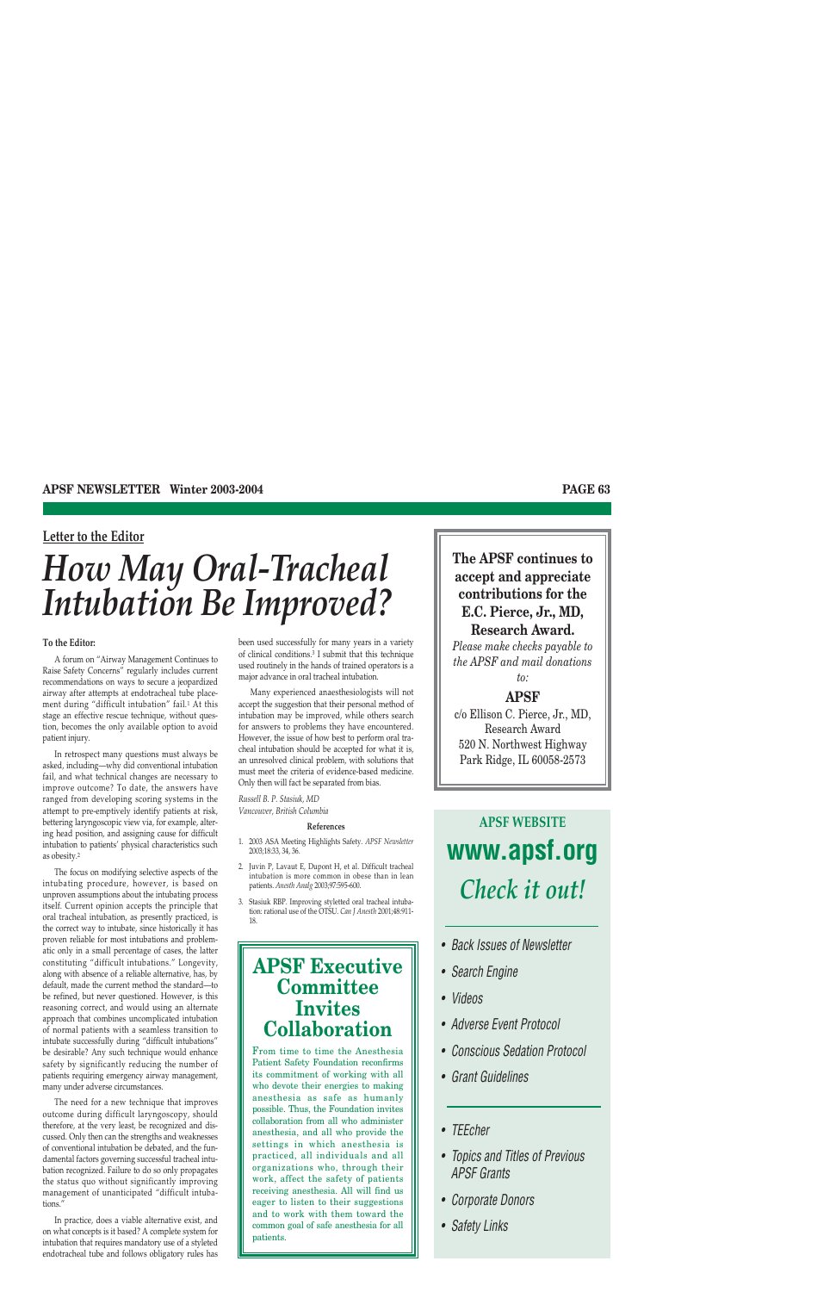## **Letter to the Editor**

# *How May Oral-Tracheal Intubation Be Improved?*

#### **To the Editor:**

A forum on "Airway Management Continues to Raise Safety Concerns" regularly includes current recommendations on ways to secure a jeopardized airway after attempts at endotracheal tube placement during "difficult intubation" fail.1 At this stage an effective rescue technique, without question, becomes the only available option to avoid patient injury.

In retrospect many questions must always be asked, including—why did conventional intubation fail, and what technical changes are necessary to improve outcome? To date, the answers have ranged from developing scoring systems in the attempt to pre-emptively identify patients at risk, bettering laryngoscopic view via, for example, altering head position, and assigning cause for difficult intubation to patients' physical characteristics such as obesity.2

The focus on modifying selective aspects of the intubating procedure, however, is based on unproven assumptions about the intubating process itself. Current opinion accepts the principle that oral tracheal intubation, as presently practiced, is the correct way to intubate, since historically it has proven reliable for most intubations and problematic only in a small percentage of cases, the latter constituting "difficult intubations." Longevity, along with absence of a reliable alternative, has, by default, made the current method the standard—to be refined, but never questioned. However, is this reasoning correct, and would using an alternate approach that combines uncomplicated intubation of normal patients with a seamless transition to intubate successfully during "difficult intubations" be desirable? Any such technique would enhance safety by significantly reducing the number of patients requiring emergency airway management, many under adverse circumstances.

The need for a new technique that improves outcome during difficult laryngoscopy, should therefore, at the very least, be recognized and discussed. Only then can the strengths and weaknesses of conventional intubation be debated, and the fundamental factors governing successful tracheal intubation recognized. Failure to do so only propagates the status quo without significantly improving management of unanticipated "difficult intubations.'

In practice, does a viable alternative exist, and on what concepts is it based? A complete system for intubation that requires mandatory use of a styleted endotracheal tube and follows obligatory rules has been used successfully for many years in a variety of clinical conditions.3 I submit that this technique used routinely in the hands of trained operators is a major advance in oral tracheal intubation.

Many experienced anaesthesiologists will not accept the suggestion that their personal method of intubation may be improved, while others search for answers to problems they have encountered. However, the issue of how best to perform oral tracheal intubation should be accepted for what it is, an unresolved clinical problem, with solutions that must meet the criteria of evidence-based medicine. Only then will fact be separated from bias.

*Russell B. P. Stasiuk, MD Vancouver, British Columbia*

#### **References**

- 1. 2003 ASA Meeting Highlights Safety. *APSF Newsletter* 2003;18:33, 34, 36.
- 2. Juvin P, Lavaut E, Dupont H, et al. Difficult tracheal intubation is more common in obese than in lean patients. *Anesth Analg* 2003;97:595-600.
- 3. Stasiuk RBP. Improving styletted oral tracheal intubation: rational use of the OTSU. *Can J Anesth* 2001;48:911- 18.

## **APSF Executive Committee Invites Collaboration**

From time to time the Anesthesia Patient Safety Foundation reconfirms its commitment of working with all who devote their energies to making anesthesia as safe as humanly possible. Thus, the Foundation invites collaboration from all who administer anesthesia, and all who provide the settings in which anesthesia is practiced, all individuals and all organizations who, through their work, affect the safety of patients receiving anesthesia. All will find us eager to listen to their suggestions and to work with them toward the common goal of safe anesthesia for all patients.

## **The APSF continues to accept and appreciate contributions for the E.C. Pierce, Jr., MD, Research Award.**

*Please make checks payable to the APSF and mail donations to:*

## **APSF**

c/o Ellison C. Pierce, Jr., MD, Research Award 520 N. Northwest Highway Park Ridge, IL 60058-2573

# **APSF WEBSITE www.apsf.org** *Check it out!*

- *Back Issues of Newsletter*
- *Search Engine*
- *Videos*
- *Adverse Event Protocol*
- *Conscious Sedation Protocol*
- *Grant Guidelines*

## *• TEEcher*

- *Topics and Titles of Previous APSF Grants*
- *Corporate Donors*
- *Safety Links*